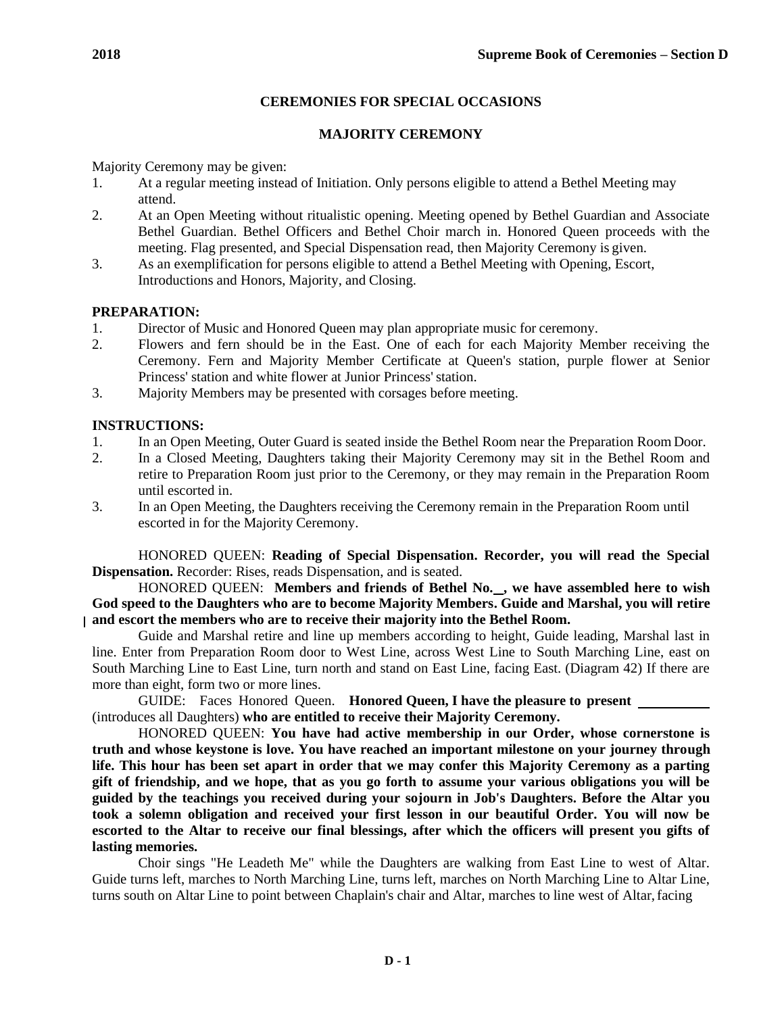# **CEREMONIES FOR SPECIAL OCCASIONS**

# **MAJORITY CEREMONY**

Majority Ceremony may be given:

- 1. At a regular meeting instead of Initiation. Only persons eligible to attend a Bethel Meeting may attend.
- 2. At an Open Meeting without ritualistic opening. Meeting opened by Bethel Guardian and Associate Bethel Guardian. Bethel Officers and Bethel Choir march in. Honored Queen proceeds with the meeting. Flag presented, and Special Dispensation read, then Majority Ceremony is given.
- 3. As an exemplification for persons eligible to attend a Bethel Meeting with Opening, Escort, Introductions and Honors, Majority, and Closing.

# **PREPARATION:**

- 1. Director of Music and Honored Queen may plan appropriate music for ceremony.
- 2. Flowers and fern should be in the East. One of each for each Majority Member receiving the Ceremony. Fern and Majority Member Certificate at Queen's station, purple flower at Senior Princess' station and white flower at Junior Princess' station.
- 3. Majority Members may be presented with corsages before meeting.

# **INSTRUCTIONS:**

- 1. In an Open Meeting, Outer Guard is seated inside the Bethel Room near the Preparation Room Door.
- 2. In a Closed Meeting, Daughters taking their Majority Ceremony may sit in the Bethel Room and retire to Preparation Room just prior to the Ceremony, or they may remain in the Preparation Room until escorted in.
- 3. In an Open Meeting, the Daughters receiving the Ceremony remain in the Preparation Room until escorted in for the Majority Ceremony.

HONORED QUEEN: **Reading of Special Dispensation. Recorder, you will read the Special Dispensation.** Recorder: Rises, reads Dispensation, and is seated.

HONORED QUEEN: Members and friends of Bethel No.<sub>,</sub> we have assembled here to wish **God speed to the Daughters who are to become Majority Members. Guide and Marshal, you will retire and escort the members who are to receive their majority into the Bethel Room.**

Guide and Marshal retire and line up members according to height, Guide leading, Marshal last in line. Enter from Preparation Room door to West Line, across West Line to South Marching Line, east on South Marching Line to East Line, turn north and stand on East Line, facing East. (Diagram 42) If there are more than eight, form two or more lines.

GUIDE: Faces Honored Queen. **Honored Queen, I have the pleasure to present**  (introduces all Daughters) **who are entitled to receive their Majority Ceremony.**

HONORED QUEEN: **You have had active membership in our Order, whose cornerstone is truth and whose keystone is love. You have reached an important milestone on your journey through life. This hour has been set apart in order that we may confer this Majority Ceremony as a parting gift of friendship, and we hope, that as you go forth to assume your various obligations you will be guided by the teachings you received during your sojourn in Job's Daughters. Before the Altar you took a solemn obligation and received your first lesson in our beautiful Order. You will now be escorted to the Altar to receive our final blessings, after which the officers will present you gifts of lasting memories.**

Choir sings "He Leadeth Me" while the Daughters are walking from East Line to west of Altar. Guide turns left, marches to North Marching Line, turns left, marches on North Marching Line to Altar Line, turns south on Altar Line to point between Chaplain's chair and Altar, marches to line west of Altar, facing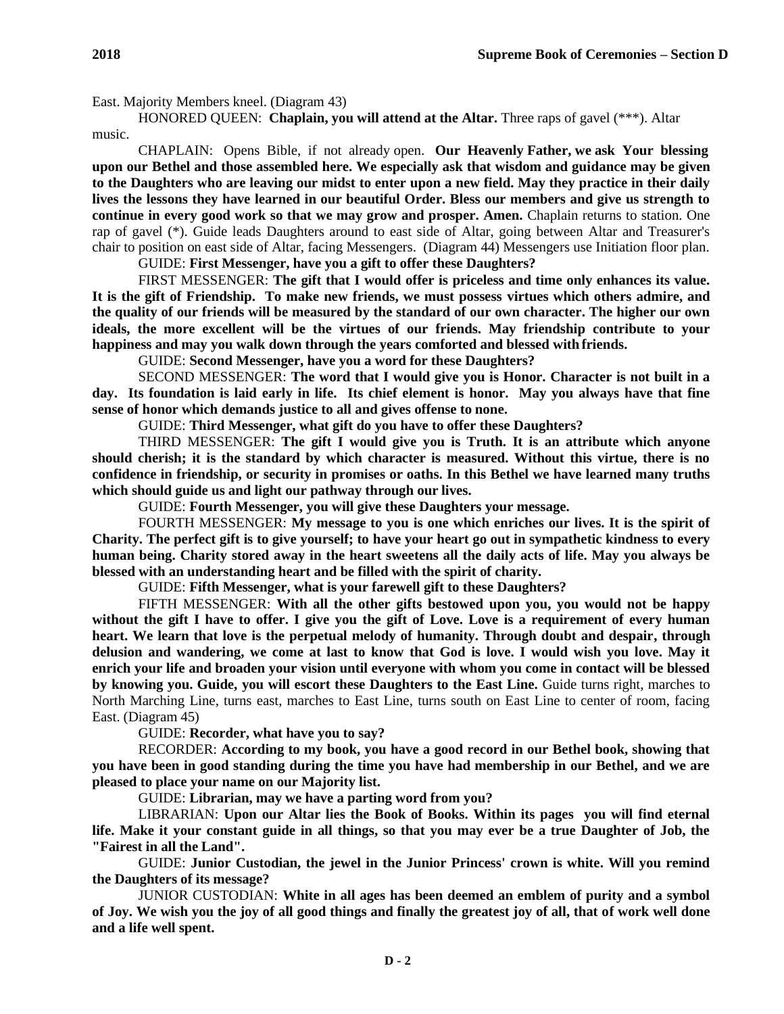East. Majority Members kneel. (Diagram 43)

HONORED QUEEN: **Chaplain, you will attend at the Altar.** Three raps of gavel (\*\*\*). Altar music.

CHAPLAIN: Opens Bible, if not already open. **Our Heavenly Father, we ask Your blessing upon our Bethel and those assembled here. We especially ask that wisdom and guidance may be given to the Daughters who are leaving our midst to enter upon a new field. May they practice in their daily lives the lessons they have learned in our beautiful Order. Bless our members and give us strength to continue in every good work so that we may grow and prosper. Amen.** Chaplain returns to station. One rap of gavel (\*). Guide leads Daughters around to east side of Altar, going between Altar and Treasurer's chair to position on east side of Altar, facing Messengers. (Diagram 44) Messengers use Initiation floor plan.

GUIDE: **First Messenger, have you a gift to offer these Daughters?**

FIRST MESSENGER: **The gift that I would offer is priceless and time only enhances its value. It is the gift of Friendship. To make new friends, we must possess virtues which others admire, and the quality of our friends will be measured by the standard of our own character. The higher our own ideals, the more excellent will be the virtues of our friends. May friendship contribute to your happiness and may you walk down through the years comforted and blessed with friends.**

GUIDE: **Second Messenger, have you a word for these Daughters?**

SECOND MESSENGER: **The word that I would give you is Honor. Character is not built in a day. Its foundation is laid early in life. Its chief element is honor. May you always have that fine sense of honor which demands justice to all and gives offense to none.**

GUIDE: **Third Messenger, what gift do you have to offer these Daughters?**

THIRD MESSENGER: **The gift I would give you is Truth. It is an attribute which anyone should cherish; it is the standard by which character is measured. Without this virtue, there is no confidence in friendship, or security in promises or oaths. In this Bethel we have learned many truths which should guide us and light our pathway through our lives.**

GUIDE: **Fourth Messenger, you will give these Daughters your message.**

FOURTH MESSENGER: **My message to you is one which enriches our lives. It is the spirit of Charity. The perfect gift is to give yourself; to have your heart go out in sympathetic kindness to every human being. Charity stored away in the heart sweetens all the daily acts of life. May you always be blessed with an understanding heart and be filled with the spirit of charity.**

GUIDE: **Fifth Messenger, what is your farewell gift to these Daughters?**

FIFTH MESSENGER: **With all the other gifts bestowed upon you, you would not be happy without the gift I have to offer. I give you the gift of Love. Love is a requirement of every human heart. We learn that love is the perpetual melody of humanity. Through doubt and despair, through delusion and wandering, we come at last to know that God is love. I would wish you love. May it enrich your life and broaden your vision until everyone with whom you come in contact will be blessed by knowing you. Guide, you will escort these Daughters to the East Line.** Guide turns right, marches to North Marching Line, turns east, marches to East Line, turns south on East Line to center of room, facing East. (Diagram 45)

GUIDE: **Recorder, what have you to say?**

RECORDER: **According to my book, you have a good record in our Bethel book, showing that you have been in good standing during the time you have had membership in our Bethel, and we are pleased to place your name on our Majority list.**

GUIDE: **Librarian, may we have a parting word from you?**

LIBRARIAN: **Upon our Altar lies the Book of Books. Within its pages you will find eternal life. Make it your constant guide in all things, so that you may ever be a true Daughter of Job, the "Fairest in all the Land".**

GUIDE: **Junior Custodian, the jewel in the Junior Princess' crown is white. Will you remind the Daughters of its message?**

JUNIOR CUSTODIAN: **White in all ages has been deemed an emblem of purity and a symbol of Joy. We wish you the joy of all good things and finally the greatest joy of all, that of work well done and a life well spent.**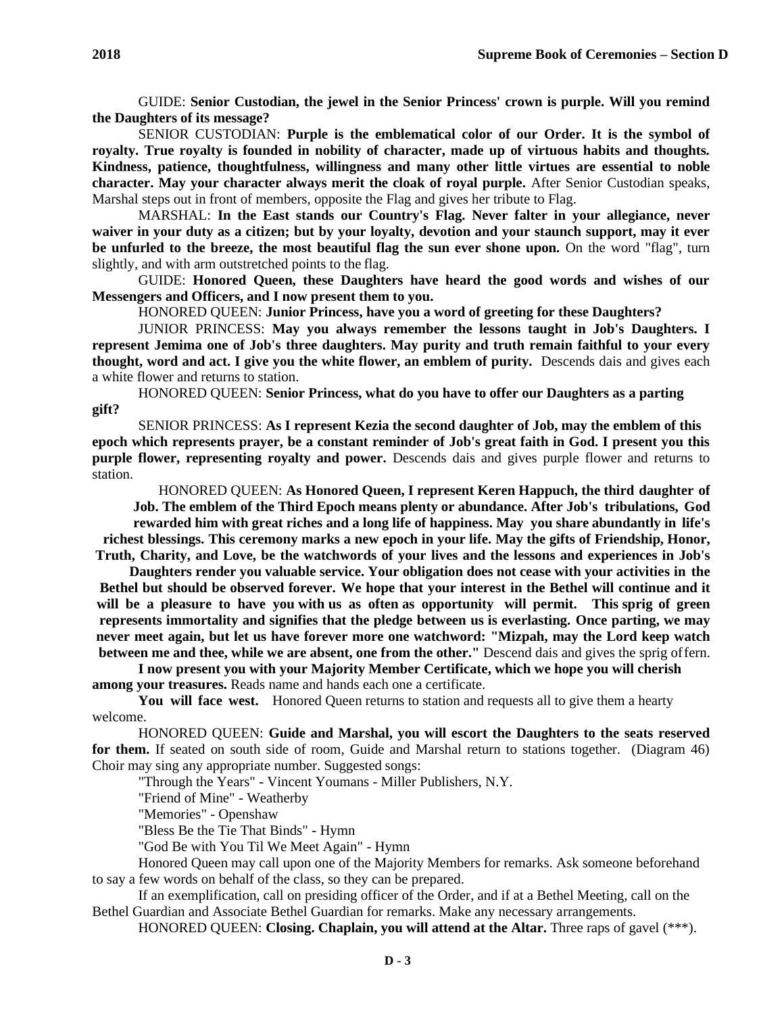GUIDE: **Senior Custodian, the jewel in the Senior Princess' crown is purple. Will you remind the Daughters of its message?**

SENIOR CUSTODIAN: **Purple is the emblematical color of our Order. It is the symbol of royalty. True royalty is founded in nobility of character, made up of virtuous habits and thoughts. Kindness, patience, thoughtfulness, willingness and many other little virtues are essential to noble character. May your character always merit the cloak of royal purple.** After Senior Custodian speaks, Marshal steps out in front of members, opposite the Flag and gives her tribute to Flag.

MARSHAL: **In the East stands our Country's Flag. Never falter in your allegiance, never waiver in your duty as a citizen; but by your loyalty, devotion and your staunch support, may it ever be unfurled to the breeze, the most beautiful flag the sun ever shone upon.** On the word "flag", turn slightly, and with arm outstretched points to the flag.

GUIDE: **Honored Queen, these Daughters have heard the good words and wishes of our Messengers and Officers, and I now present them to you.**

HONORED QUEEN: **Junior Princess, have you a word of greeting for these Daughters?**

JUNIOR PRINCESS: **May you always remember the lessons taught in Job's Daughters. I represent Jemima one of Job's three daughters. May purity and truth remain faithful to your every thought, word and act. I give you the white flower, an emblem of purity.** Descends dais and gives each a white flower and returns to station.

HONORED QUEEN: **Senior Princess, what do you have to offer our Daughters as a parting gift?**

SENIOR PRINCESS: **As I represent Kezia the second daughter of Job, may the emblem of this epoch which represents prayer, be a constant reminder of Job's great faith in God. I present you this purple flower, representing royalty and power.** Descends dais and gives purple flower and returns to station.

HONORED QUEEN: **As Honored Queen, I represent Keren Happuch, the third daughter of Job. The emblem of the Third Epoch means plenty or abundance. After Job's tribulations, God rewarded him with great riches and a long life of happiness. May you share abundantly in life's richest blessings. This ceremony marks a new epoch in your life. May the gifts of Friendship, Honor, Truth, Charity, and Love, be the watchwords of your lives and the lessons and experiences in Job's** 

**Daughters render you valuable service. Your obligation does not cease with your activities in the**  Bethel but should be observed forever. We hope that your interest in the Bethel will continue and it **will be a pleasure to have you with us as often as opportunity will permit. This sprig of green represents immortality and signifies that the pledge between us is everlasting. Once parting, we may never meet again, but let us have forever more one watchword: "Mizpah, may the Lord keep watch between me and thee, while we are absent, one from the other."** Descend dais and gives the sprig offern.

**I now present you with your Majority Member Certificate, which we hope you will cherish among your treasures.** Reads name and hands each one a certificate.

**You will face west.** Honored Queen returns to station and requests all to give them a hearty welcome.

HONORED QUEEN: **Guide and Marshal, you will escort the Daughters to the seats reserved for them.** If seated on south side of room, Guide and Marshal return to stations together. (Diagram 46) Choir may sing any appropriate number. Suggested songs:

"Through the Years" - Vincent Youmans - Miller Publishers, N.Y.

"Friend of Mine" - Weatherby

"Memories" - Openshaw

"Bless Be the Tie That Binds" - Hymn

"God Be with You Til We Meet Again" - Hymn

Honored Queen may call upon one of the Majority Members for remarks. Ask someone beforehand to say a few words on behalf of the class, so they can be prepared.

If an exemplification, call on presiding officer of the Order, and if at a Bethel Meeting, call on the Bethel Guardian and Associate Bethel Guardian for remarks. Make any necessary arrangements.

HONORED QUEEN: **Closing. Chaplain, you will attend at the Altar.** Three raps of gavel (\*\*\*).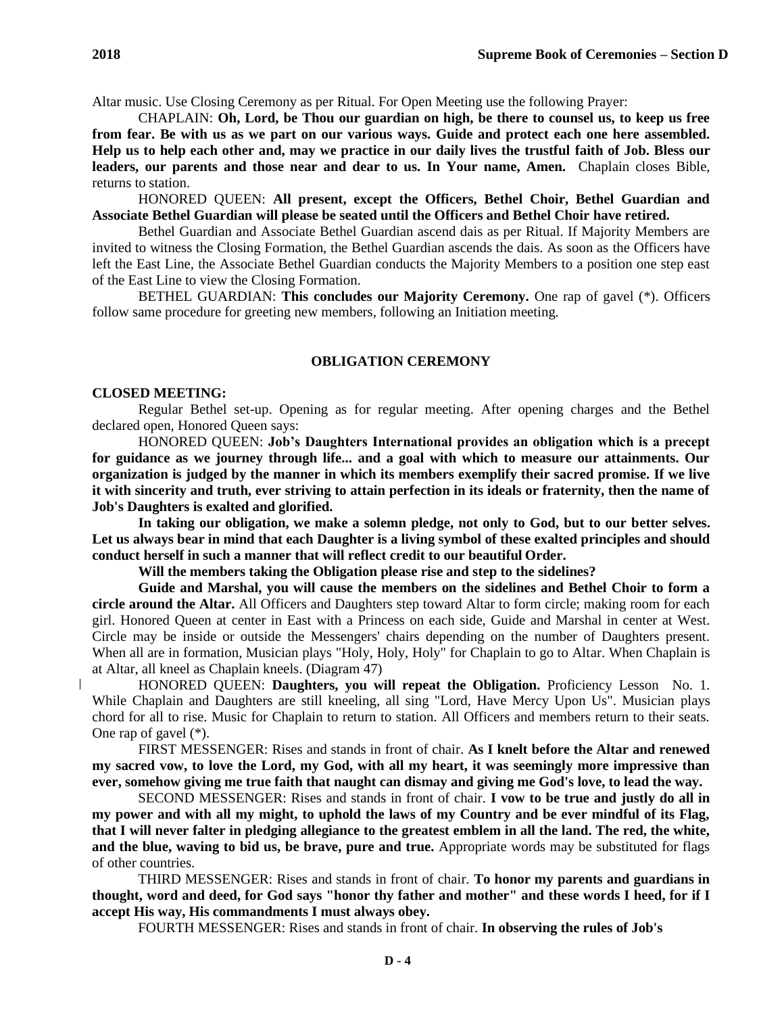Altar music. Use Closing Ceremony as per Ritual. For Open Meeting use the following Prayer:

CHAPLAIN: **Oh, Lord, be Thou our guardian on high, be there to counsel us, to keep us free from fear. Be with us as we part on our various ways. Guide and protect each one here assembled. Help us to help each other and, may we practice in our daily lives the trustful faith of Job. Bless our leaders, our parents and those near and dear to us. In Your name, Amen.** Chaplain closes Bible, returns to station.

HONORED QUEEN: **All present, except the Officers, Bethel Choir, Bethel Guardian and Associate Bethel Guardian will please be seated until the Officers and Bethel Choir have retired.**

Bethel Guardian and Associate Bethel Guardian ascend dais as per Ritual. If Majority Members are invited to witness the Closing Formation, the Bethel Guardian ascends the dais. As soon as the Officers have left the East Line, the Associate Bethel Guardian conducts the Majority Members to a position one step east of the East Line to view the Closing Formation.

BETHEL GUARDIAN: **This concludes our Majority Ceremony.** One rap of gavel (\*). Officers follow same procedure for greeting new members, following an Initiation meeting.

### **OBLIGATION CEREMONY**

#### **CLOSED MEETING:**

Regular Bethel set-up. Opening as for regular meeting. After opening charges and the Bethel declared open, Honored Queen says:

HONORED QUEEN: **Job's Daughters International provides an obligation which is a precept for guidance as we journey through life... and a goal with which to measure our attainments. Our organization is judged by the manner in which its members exemplify their sacred promise. If we live it with sincerity and truth, ever striving to attain perfection in its ideals or fraternity, then the name of Job's Daughters is exalted and glorified.**

**In taking our obligation, we make a solemn pledge, not only to God, but to our better selves. Let us always bear in mind that each Daughter is a living symbol of these exalted principles and should conduct herself in such a manner that will reflect credit to our beautiful Order.**

**Will the members taking the Obligation please rise and step to the sidelines?**

**Guide and Marshal, you will cause the members on the sidelines and Bethel Choir to form a circle around the Altar.** All Officers and Daughters step toward Altar to form circle; making room for each girl. Honored Queen at center in East with a Princess on each side, Guide and Marshal in center at West. Circle may be inside or outside the Messengers' chairs depending on the number of Daughters present. When all are in formation, Musician plays "Holy, Holy, Holy" for Chaplain to go to Altar. When Chaplain is at Altar, all kneel as Chaplain kneels. (Diagram 47)

HONORED QUEEN: **Daughters, you will repeat the Obligation.** Proficiency Lesson No. 1. While Chaplain and Daughters are still kneeling, all sing "Lord, Have Mercy Upon Us". Musician plays chord for all to rise. Music for Chaplain to return to station. All Officers and members return to their seats. One rap of gavel (\*).

FIRST MESSENGER: Rises and stands in front of chair. **As I knelt before the Altar and renewed my sacred vow, to love the Lord, my God, with all my heart, it was seemingly more impressive than ever, somehow giving me true faith that naught can dismay and giving me God's love, to lead the way.**

SECOND MESSENGER: Rises and stands in front of chair. **I vow to be true and justly do all in my power and with all my might, to uphold the laws of my Country and be ever mindful of its Flag, that I will never falter in pledging allegiance to the greatest emblem in all the land. The red, the white, and the blue, waving to bid us, be brave, pure and true.** Appropriate words may be substituted for flags of other countries.

THIRD MESSENGER: Rises and stands in front of chair. **To honor my parents and guardians in thought, word and deed, for God says "honor thy father and mother" and these words I heed, for if I accept His way, His commandments I must always obey.**

FOURTH MESSENGER: Rises and stands in front of chair. **In observing the rules of Job's**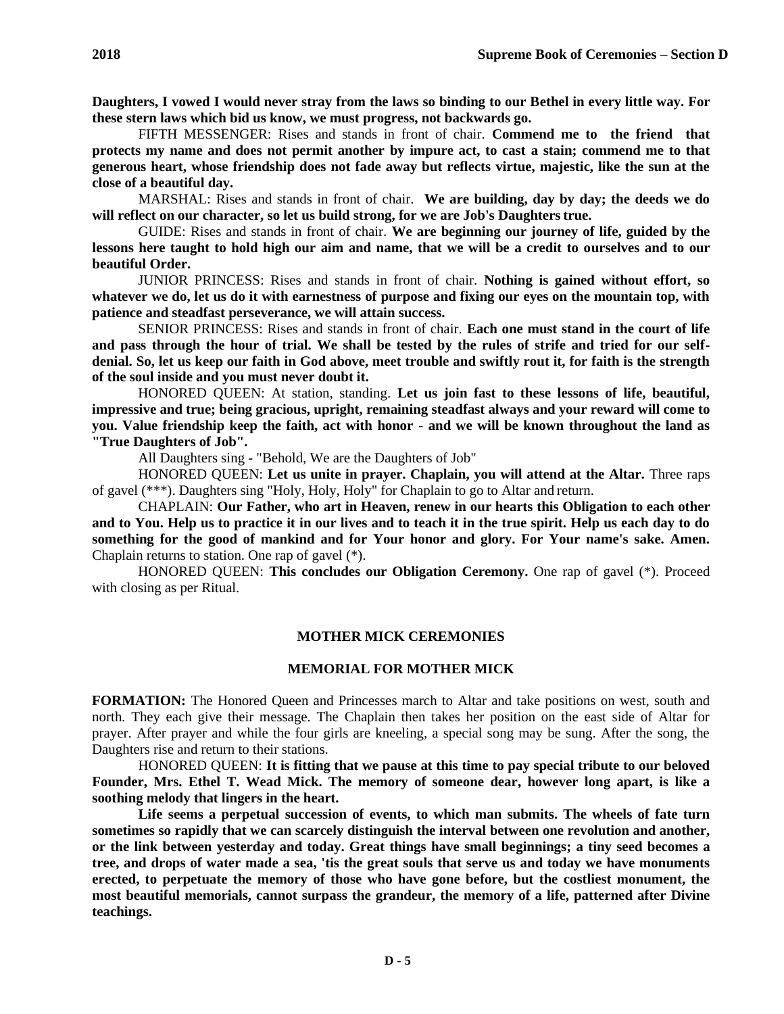**Daughters, I vowed I would never stray from the laws so binding to our Bethel in every little way. For these stern laws which bid us know, we must progress, not backwards go.**

FIFTH MESSENGER: Rises and stands in front of chair. **Commend me to the friend that protects my name and does not permit another by impure act, to cast a stain; commend me to that generous heart, whose friendship does not fade away but reflects virtue, majestic, like the sun at the close of a beautiful day.**

MARSHAL: Rises and stands in front of chair. **We are building, day by day; the deeds we do will reflect on our character, so let us build strong, for we are Job's Daughterstrue.**

GUIDE: Rises and stands in front of chair. **We are beginning our journey of life, guided by the lessons here taught to hold high our aim and name, that we will be a credit to ourselves and to our beautiful Order.**

JUNIOR PRINCESS: Rises and stands in front of chair. **Nothing is gained without effort, so whatever we do, let us do it with earnestness of purpose and fixing our eyes on the mountain top, with patience and steadfast perseverance, we will attain success.**

SENIOR PRINCESS: Rises and stands in front of chair. **Each one must stand in the court of life and pass through the hour of trial. We shall be tested by the rules of strife and tried for our selfdenial. So, let us keep our faith in God above, meet trouble and swiftly rout it, for faith is the strength of the soul inside and you must never doubt it.**

HONORED QUEEN: At station, standing. **Let us join fast to these lessons of life, beautiful, impressive and true; being gracious, upright, remaining steadfast always and your reward will come to you. Value friendship keep the faith, act with honor - and we will be known throughout the land as "True Daughters of Job".**

All Daughters sing - "Behold, We are the Daughters of Job"

HONORED QUEEN: **Let us unite in prayer. Chaplain, you will attend at the Altar.** Three raps of gavel (\*\*\*). Daughters sing "Holy, Holy, Holy" for Chaplain to go to Altar and return.

CHAPLAIN: **Our Father, who art in Heaven, renew in our hearts this Obligation to each other and to You. Help us to practice it in our lives and to teach it in the true spirit. Help us each day to do something for the good of mankind and for Your honor and glory. For Your name's sake. Amen.**  Chaplain returns to station. One rap of gavel (\*).

HONORED QUEEN: **This concludes our Obligation Ceremony.** One rap of gavel (\*). Proceed with closing as per Ritual.

### **MOTHER MICK CEREMONIES**

#### **MEMORIAL FOR MOTHER MICK**

**FORMATION:** The Honored Queen and Princesses march to Altar and take positions on west, south and north. They each give their message. The Chaplain then takes her position on the east side of Altar for prayer. After prayer and while the four girls are kneeling, a special song may be sung. After the song, the Daughters rise and return to their stations.

HONORED QUEEN: **It is fitting that we pause at this time to pay special tribute to our beloved Founder, Mrs. Ethel T. Wead Mick. The memory of someone dear, however long apart, is like a soothing melody that lingers in the heart.**

**Life seems a perpetual succession of events, to which man submits. The wheels of fate turn sometimes so rapidly that we can scarcely distinguish the interval between one revolution and another, or the link between yesterday and today. Great things have small beginnings; a tiny seed becomes a tree, and drops of water made a sea, 'tis the great souls that serve us and today we have monuments erected, to perpetuate the memory of those who have gone before, but the costliest monument, the most beautiful memorials, cannot surpass the grandeur, the memory of a life, patterned after Divine teachings.**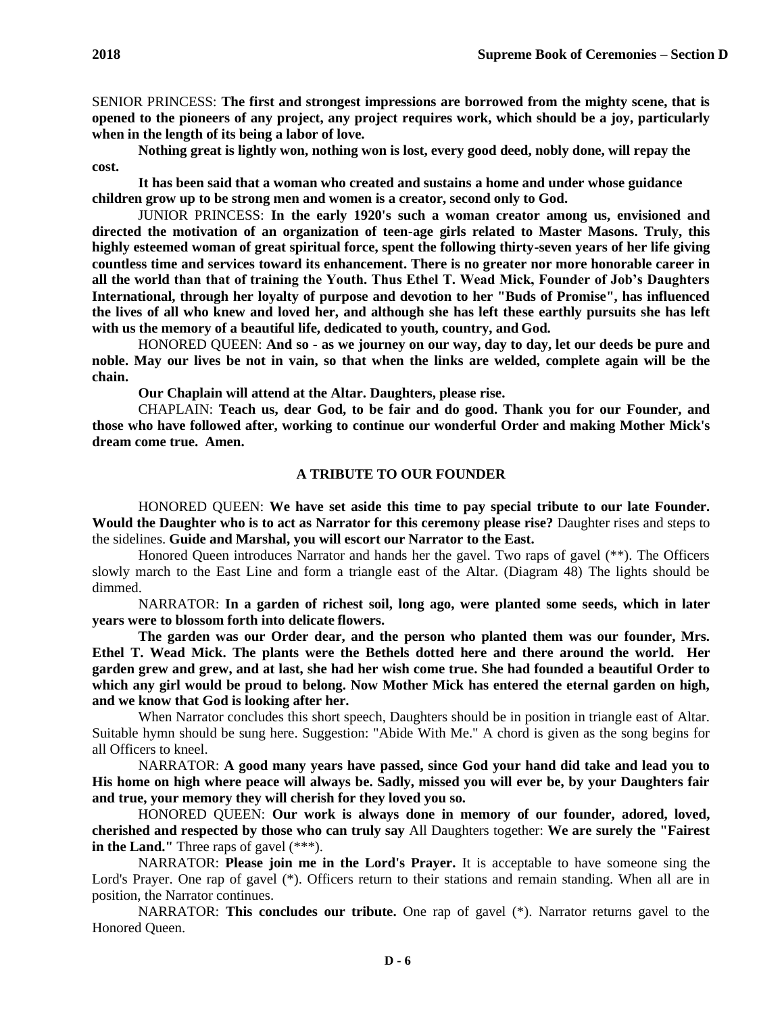SENIOR PRINCESS: **The first and strongest impressions are borrowed from the mighty scene, that is opened to the pioneers of any project, any project requires work, which should be a joy, particularly when in the length of its being a labor of love.**

**Nothing great is lightly won, nothing won is lost, every good deed, nobly done, will repay the cost.**

**It has been said that a woman who created and sustains a home and under whose guidance children grow up to be strong men and women is a creator, second only to God.**

JUNIOR PRINCESS: **In the early 1920's such a woman creator among us, envisioned and directed the motivation of an organization of teen-age girls related to Master Masons. Truly, this highly esteemed woman of great spiritual force, spent the following thirty-seven years of her life giving countless time and services toward its enhancement. There is no greater nor more honorable career in all the world than that of training the Youth. Thus Ethel T. Wead Mick, Founder of Job's Daughters International, through her loyalty of purpose and devotion to her "Buds of Promise", has influenced the lives of all who knew and loved her, and although she has left these earthly pursuits she has left with us the memory of a beautiful life, dedicated to youth, country, and God.**

HONORED QUEEN: **And so - as we journey on our way, day to day, let our deeds be pure and noble. May our lives be not in vain, so that when the links are welded, complete again will be the chain.**

**Our Chaplain will attend at the Altar. Daughters, please rise.**

CHAPLAIN: **Teach us, dear God, to be fair and do good. Thank you for our Founder, and those who have followed after, working to continue our wonderful Order and making Mother Mick's dream come true. Amen.**

## **A TRIBUTE TO OUR FOUNDER**

HONORED QUEEN: **We have set aside this time to pay special tribute to our late Founder. Would the Daughter who is to act as Narrator for this ceremony please rise?** Daughter rises and steps to the sidelines. **Guide and Marshal, you will escort our Narrator to the East.**

Honored Queen introduces Narrator and hands her the gavel. Two raps of gavel (\*\*). The Officers slowly march to the East Line and form a triangle east of the Altar. (Diagram 48) The lights should be dimmed.

NARRATOR: **In a garden of richest soil, long ago, were planted some seeds, which in later years were to blossom forth into delicate flowers.**

**The garden was our Order dear, and the person who planted them was our founder, Mrs. Ethel T. Wead Mick. The plants were the Bethels dotted here and there around the world. Her garden grew and grew, and at last, she had her wish come true. She had founded a beautiful Order to which any girl would be proud to belong. Now Mother Mick has entered the eternal garden on high, and we know that God is looking after her.**

When Narrator concludes this short speech, Daughters should be in position in triangle east of Altar. Suitable hymn should be sung here. Suggestion: "Abide With Me." A chord is given as the song begins for all Officers to kneel.

NARRATOR: **A good many years have passed, since God your hand did take and lead you to His home on high where peace will always be. Sadly, missed you will ever be, by your Daughters fair and true, your memory they will cherish for they loved you so.**

HONORED QUEEN: **Our work is always done in memory of our founder, adored, loved, cherished and respected by those who can truly say** All Daughters together: **We are surely the "Fairest in the Land."** Three raps of gavel (\*\*\*).

NARRATOR: **Please join me in the Lord's Prayer.** It is acceptable to have someone sing the Lord's Prayer. One rap of gavel (\*). Officers return to their stations and remain standing. When all are in position, the Narrator continues.

NARRATOR: **This concludes our tribute.** One rap of gavel (\*). Narrator returns gavel to the Honored Queen.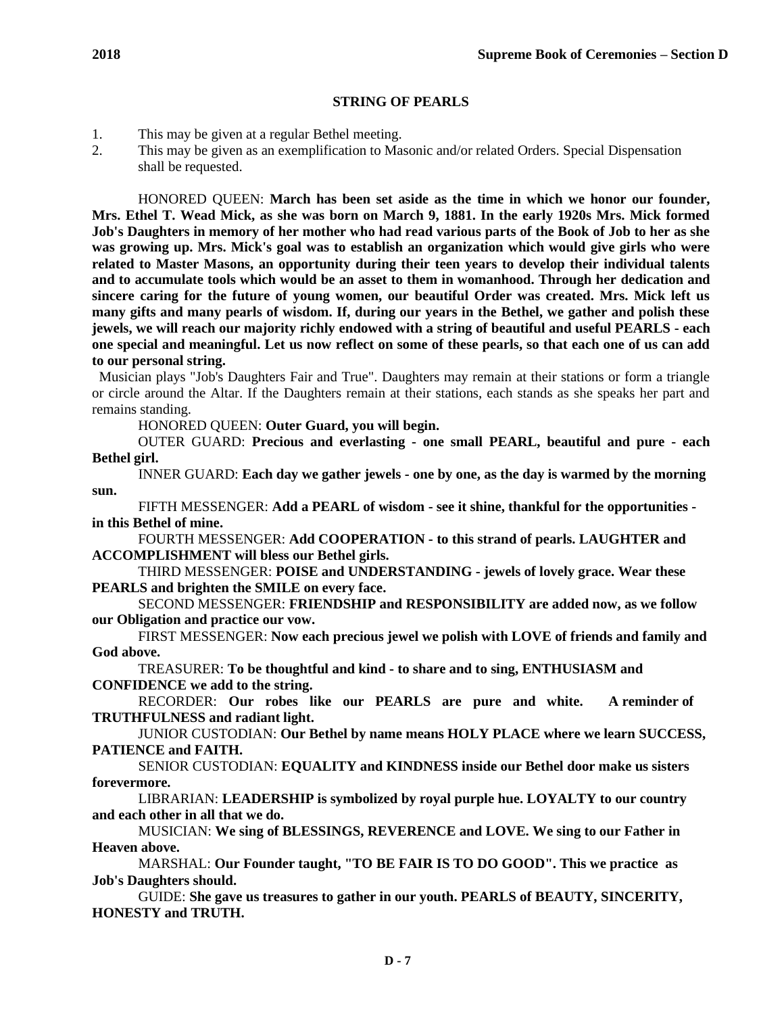1. This may be given at a regular Bethel meeting.

2. This may be given as an exemplification to Masonic and/or related Orders. Special Dispensation shall be requested.

HONORED QUEEN: **March has been set aside as the time in which we honor our founder, Mrs. Ethel T. Wead Mick, as she was born on March 9, 1881. In the early 1920s Mrs. Mick formed Job's Daughters in memory of her mother who had read various parts of the Book of Job to her as she was growing up. Mrs. Mick's goal was to establish an organization which would give girls who were related to Master Masons, an opportunity during their teen years to develop their individual talents and to accumulate tools which would be an asset to them in womanhood. Through her dedication and sincere caring for the future of young women, our beautiful Order was created. Mrs. Mick left us many gifts and many pearls of wisdom. If, during our years in the Bethel, we gather and polish these jewels, we will reach our majority richly endowed with a string of beautiful and useful PEARLS - each one special and meaningful. Let us now reflect on some of these pearls, so that each one of us can add to our personal string.**

Musician plays "Job's Daughters Fair and True". Daughters may remain at their stations or form a triangle or circle around the Altar. If the Daughters remain at their stations, each stands as she speaks her part and remains standing.

HONORED QUEEN: **Outer Guard, you will begin.**

OUTER GUARD: **Precious and everlasting - one small PEARL, beautiful and pure - each Bethel girl.**

INNER GUARD: **Each day we gather jewels - one by one, as the day is warmed by the morning sun.**

FIFTH MESSENGER: **Add a PEARL of wisdom - see it shine, thankful for the opportunities in this Bethel of mine.**

FOURTH MESSENGER: **Add COOPERATION - to this strand of pearls. LAUGHTER and ACCOMPLISHMENT will bless our Bethel girls.**

THIRD MESSENGER: **POISE and UNDERSTANDING - jewels of lovely grace. Wear these PEARLS and brighten the SMILE on every face.**

SECOND MESSENGER: **FRIENDSHIP and RESPONSIBILITY are added now, as we follow our Obligation and practice our vow.**

FIRST MESSENGER: **Now each precious jewel we polish with LOVE of friends and family and God above.**

TREASURER: **To be thoughtful and kind - to share and to sing, ENTHUSIASM and CONFIDENCE we add to the string.**

RECORDER: **Our robes like our PEARLS are pure and white. A reminder of TRUTHFULNESS and radiant light.**

JUNIOR CUSTODIAN: **Our Bethel by name means HOLY PLACE where we learn SUCCESS, PATIENCE and FAITH.**

SENIOR CUSTODIAN: **EQUALITY and KINDNESS inside our Bethel door make us sisters forevermore.**

LIBRARIAN: **LEADERSHIP is symbolized by royal purple hue. LOYALTY to our country and each other in all that we do.**

MUSICIAN: **We sing of BLESSINGS, REVERENCE and LOVE. We sing to our Father in Heaven above.**

MARSHAL: **Our Founder taught, "TO BE FAIR IS TO DO GOOD". This we practice as Job's Daughters should.**

GUIDE: **She gave us treasures to gather in our youth. PEARLS of BEAUTY, SINCERITY, HONESTY and TRUTH.**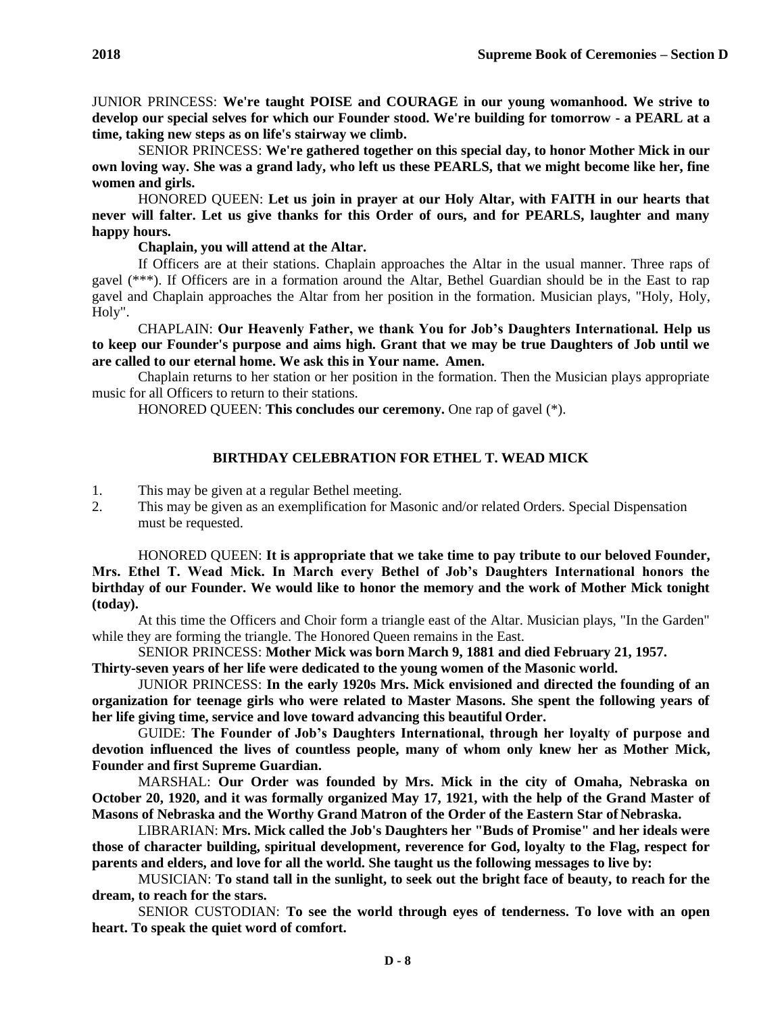JUNIOR PRINCESS: **We're taught POISE and COURAGE in our young womanhood. We strive to develop our special selves for which our Founder stood. We're building for tomorrow - a PEARL at a time, taking new steps as on life's stairway we climb.**

SENIOR PRINCESS: **We're gathered together on this special day, to honor Mother Mick in our own loving way. She was a grand lady, who left us these PEARLS, that we might become like her, fine women and girls.**

HONORED QUEEN: **Let us join in prayer at our Holy Altar, with FAITH in our hearts that never will falter. Let us give thanks for this Order of ours, and for PEARLS, laughter and many happy hours.**

### **Chaplain, you will attend at the Altar.**

If Officers are at their stations. Chaplain approaches the Altar in the usual manner. Three raps of gavel (\*\*\*). If Officers are in a formation around the Altar, Bethel Guardian should be in the East to rap gavel and Chaplain approaches the Altar from her position in the formation. Musician plays, "Holy, Holy, Holy".

CHAPLAIN: **Our Heavenly Father, we thank You for Job's Daughters International. Help us to keep our Founder's purpose and aims high. Grant that we may be true Daughters of Job until we are called to our eternal home. We ask this in Your name. Amen.**

Chaplain returns to her station or her position in the formation. Then the Musician plays appropriate music for all Officers to return to their stations.

HONORED QUEEN: **This concludes our ceremony.** One rap of gavel (\*).

# **BIRTHDAY CELEBRATION FOR ETHEL T. WEAD MICK**

- 1. This may be given at a regular Bethel meeting.
- 2. This may be given as an exemplification for Masonic and/or related Orders. Special Dispensation must be requested.

HONORED QUEEN: **It is appropriate that we take time to pay tribute to our beloved Founder, Mrs. Ethel T. Wead Mick. In March every Bethel of Job's Daughters International honors the birthday of our Founder. We would like to honor the memory and the work of Mother Mick tonight (today).**

At this time the Officers and Choir form a triangle east of the Altar. Musician plays, "In the Garden" while they are forming the triangle. The Honored Queen remains in the East.

SENIOR PRINCESS: **Mother Mick was born March 9, 1881 and died February 21, 1957.**

**Thirty-seven years of her life were dedicated to the young women of the Masonic world.**

JUNIOR PRINCESS: **In the early 1920s Mrs. Mick envisioned and directed the founding of an organization for teenage girls who were related to Master Masons. She spent the following years of her life giving time, service and love toward advancing this beautiful Order.**

GUIDE: **The Founder of Job's Daughters International, through her loyalty of purpose and devotion influenced the lives of countless people, many of whom only knew her as Mother Mick, Founder and first Supreme Guardian.**

MARSHAL: **Our Order was founded by Mrs. Mick in the city of Omaha, Nebraska on October 20, 1920, and it was formally organized May 17, 1921, with the help of the Grand Master of Masons of Nebraska and the Worthy Grand Matron of the Order of the Eastern Star of Nebraska.**

LIBRARIAN: **Mrs. Mick called the Job's Daughters her "Buds of Promise" and her ideals were those of character building, spiritual development, reverence for God, loyalty to the Flag, respect for parents and elders, and love for all the world. She taught us the following messages to live by:**

MUSICIAN: **To stand tall in the sunlight, to seek out the bright face of beauty, to reach for the dream, to reach for the stars.**

SENIOR CUSTODIAN: **To see the world through eyes of tenderness. To love with an open heart. To speak the quiet word of comfort.**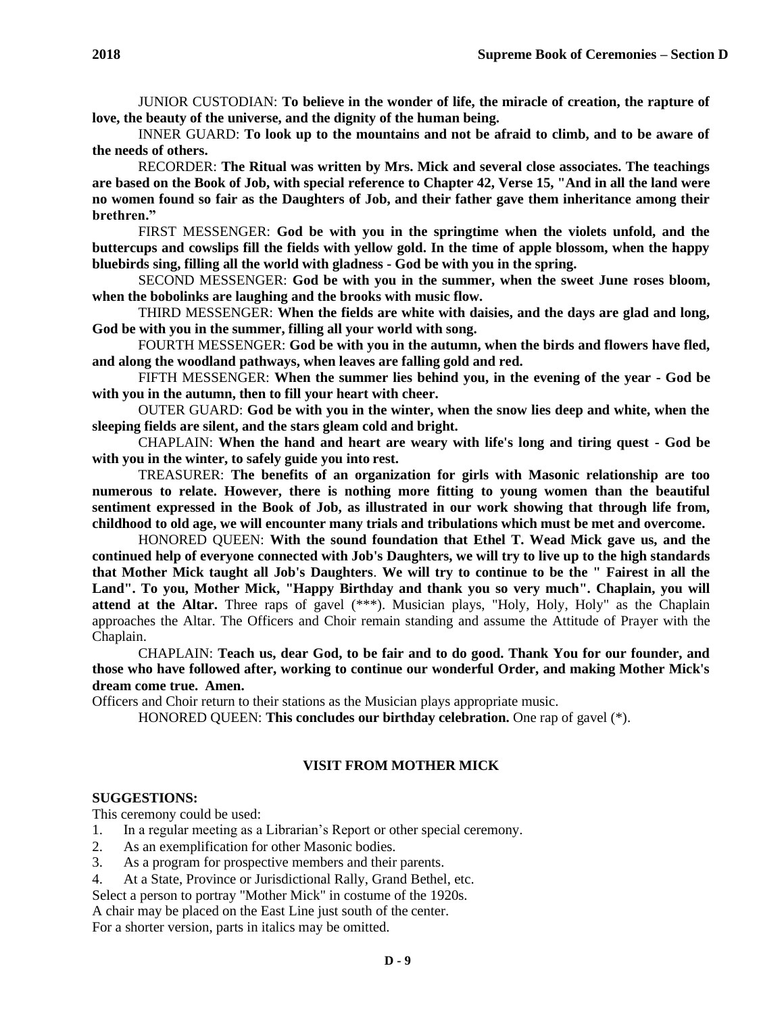JUNIOR CUSTODIAN: **To believe in the wonder of life, the miracle of creation, the rapture of love, the beauty of the universe, and the dignity of the human being.**

INNER GUARD: **To look up to the mountains and not be afraid to climb, and to be aware of the needs of others.**

RECORDER: **The Ritual was written by Mrs. Mick and several close associates. The teachings are based on the Book of Job, with special reference to Chapter 42, Verse 15, "And in all the land were no women found so fair as the Daughters of Job, and their father gave them inheritance among their brethren."**

FIRST MESSENGER: **God be with you in the springtime when the violets unfold, and the buttercups and cowslips fill the fields with yellow gold. In the time of apple blossom, when the happy bluebirds sing, filling all the world with gladness - God be with you in the spring.**

SECOND MESSENGER: **God be with you in the summer, when the sweet June roses bloom, when the bobolinks are laughing and the brooks with music flow.**

THIRD MESSENGER: **When the fields are white with daisies, and the days are glad and long, God be with you in the summer, filling all your world with song.**

FOURTH MESSENGER: **God be with you in the autumn, when the birds and flowers have fled, and along the woodland pathways, when leaves are falling gold and red.**

FIFTH MESSENGER: **When the summer lies behind you, in the evening of the year - God be with you in the autumn, then to fill your heart with cheer.**

OUTER GUARD: **God be with you in the winter, when the snow lies deep and white, when the sleeping fields are silent, and the stars gleam cold and bright.**

CHAPLAIN: **When the hand and heart are weary with life's long and tiring quest - God be with you in the winter, to safely guide you into rest.**

TREASURER: **The benefits of an organization for girls with Masonic relationship are too numerous to relate. However, there is nothing more fitting to young women than the beautiful sentiment expressed in the Book of Job, as illustrated in our work showing that through life from, childhood to old age, we will encounter many trials and tribulations which must be met and overcome.**

HONORED QUEEN: **With the sound foundation that Ethel T. Wead Mick gave us, and the continued help of everyone connected with Job's Daughters, we will try to live up to the high standards that Mother Mick taught all Job's Daughters**. **We will try to continue to be the " Fairest in all the Land". To you, Mother Mick, "Happy Birthday and thank you so very much". Chaplain, you will attend at the Altar.** Three raps of gavel (\*\*\*). Musician plays, "Holy, Holy, Holy" as the Chaplain approaches the Altar. The Officers and Choir remain standing and assume the Attitude of Prayer with the Chaplain.

CHAPLAIN: **Teach us, dear God, to be fair and to do good. Thank You for our founder, and those who have followed after, working to continue our wonderful Order, and making Mother Mick's dream come true. Amen.**

Officers and Choir return to their stations as the Musician plays appropriate music.

HONORED QUEEN: **This concludes our birthday celebration.** One rap of gavel (\*).

### **VISIT FROM MOTHER MICK**

#### **SUGGESTIONS:**

This ceremony could be used:

- 1. In a regular meeting as a Librarian's Report or other special ceremony.
- 2. As an exemplification for other Masonic bodies.
- 3. As a program for prospective members and their parents.
- 4. At a State, Province or Jurisdictional Rally, Grand Bethel, etc.

Select a person to portray "Mother Mick" in costume of the 1920s.

A chair may be placed on the East Line just south of the center.

For a shorter version, parts in italics may be omitted.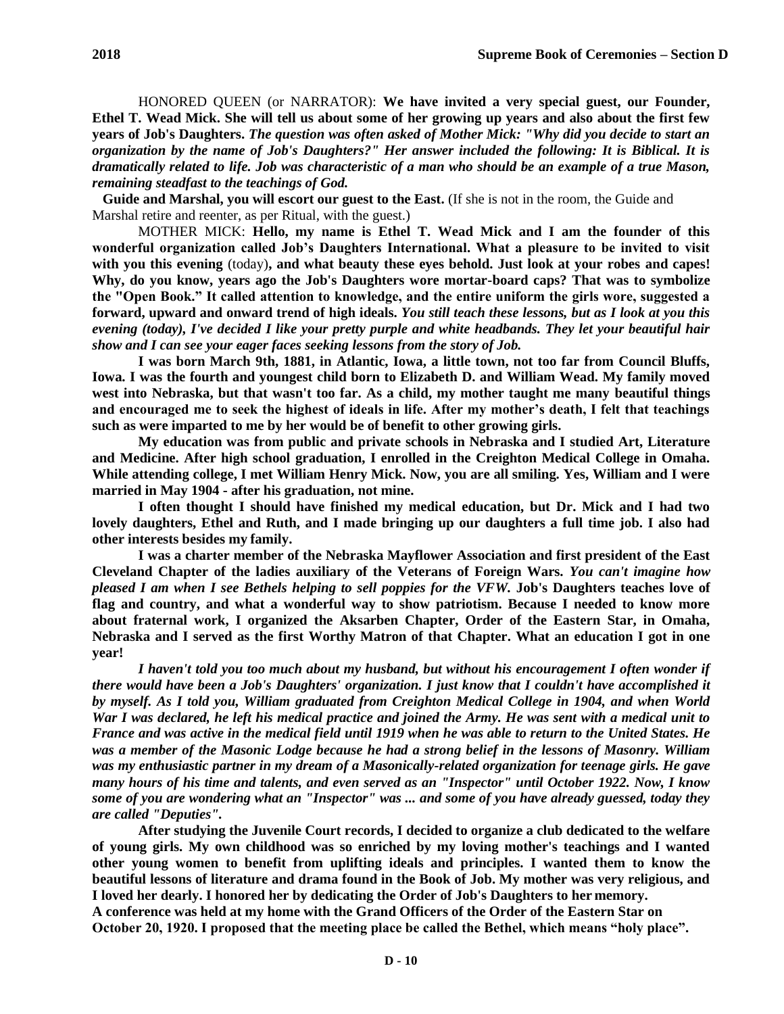HONORED QUEEN (or NARRATOR): **We have invited a very special guest, our Founder, Ethel T. Wead Mick. She will tell us about some of her growing up years and also about the first few years of Job's Daughters.** *The question was often asked of Mother Mick: "Why did you decide to start an organization by the name of Job's Daughters?" Her answer included the following: It is Biblical. It is dramatically related to life. Job was characteristic of a man who should be an example of a true Mason, remaining steadfast to the teachings of God.*

**Guide and Marshal, you will escort our guest to the East.** (If she is not in the room, the Guide and Marshal retire and reenter, as per Ritual, with the guest.)

MOTHER MICK: **Hello, my name is Ethel T. Wead Mick and I am the founder of this wonderful organization called Job's Daughters International. What a pleasure to be invited to visit with you this evening** (today)**, and what beauty these eyes behold. Just look at your robes and capes! Why, do you know, years ago the Job's Daughters wore mortar-board caps? That was to symbolize the "Open Book." It called attention to knowledge, and the entire uniform the girls wore, suggested a forward, upward and onward trend of high ideals.** *You still teach these lessons, but as I look at you this evening (today), I've decided I like your pretty purple and white headbands. They let your beautiful hair show and I can see your eager faces seeking lessons from the story of Job.*

**I was born March 9th, 1881, in Atlantic, Iowa, a little town, not too far from Council Bluffs, Iowa. I was the fourth and youngest child born to Elizabeth D. and William Wead. My family moved west into Nebraska, but that wasn't too far. As a child, my mother taught me many beautiful things and encouraged me to seek the highest of ideals in life. After my mother's death, I felt that teachings such as were imparted to me by her would be of benefit to other growing girls.**

**My education was from public and private schools in Nebraska and I studied Art, Literature and Medicine. After high school graduation, I enrolled in the Creighton Medical College in Omaha. While attending college, I met William Henry Mick. Now, you are all smiling. Yes, William and I were married in May 1904 - after his graduation, not mine.**

**I often thought I should have finished my medical education, but Dr. Mick and I had two lovely daughters, Ethel and Ruth, and I made bringing up our daughters a full time job. I also had other interests besides my family.**

**I was a charter member of the Nebraska Mayflower Association and first president of the East Cleveland Chapter of the ladies auxiliary of the Veterans of Foreign Wars.** *You can't imagine how pleased I am when I see Bethels helping to sell poppies for the VFW.* **Job's Daughters teaches love of flag and country, and what a wonderful way to show patriotism. Because I needed to know more about fraternal work, I organized the Aksarben Chapter, Order of the Eastern Star, in Omaha, Nebraska and I served as the first Worthy Matron of that Chapter. What an education I got in one year!**

*I haven't told you too much about my husband, but without his encouragement I often wonder if there would have been a Job's Daughters' organization. I just know that I couldn't have accomplished it by myself. As I told you, William graduated from Creighton Medical College in 1904, and when World War I was declared, he left his medical practice and joined the Army. He was sent with a medical unit to France and was active in the medical field until 1919 when he was able to return to the United States. He was a member of the Masonic Lodge because he had a strong belief in the lessons of Masonry. William was my enthusiastic partner in my dream of a Masonically-related organization for teenage girls. He gave many hours of his time and talents, and even served as an "Inspector" until October 1922. Now, I know some of you are wondering what an "Inspector" was ... and some of you have already guessed, today they are called "Deputies".*

**After studying the Juvenile Court records, I decided to organize a club dedicated to the welfare of young girls. My own childhood was so enriched by my loving mother's teachings and I wanted other young women to benefit from uplifting ideals and principles. I wanted them to know the beautiful lessons of literature and drama found in the Book of Job. My mother was very religious, and I loved her dearly. I honored her by dedicating the Order of Job's Daughters to her memory. A conference was held at my home with the Grand Officers of the Order of the Eastern Star on October 20, 1920. I proposed that the meeting place be called the Bethel, which means "holy place".**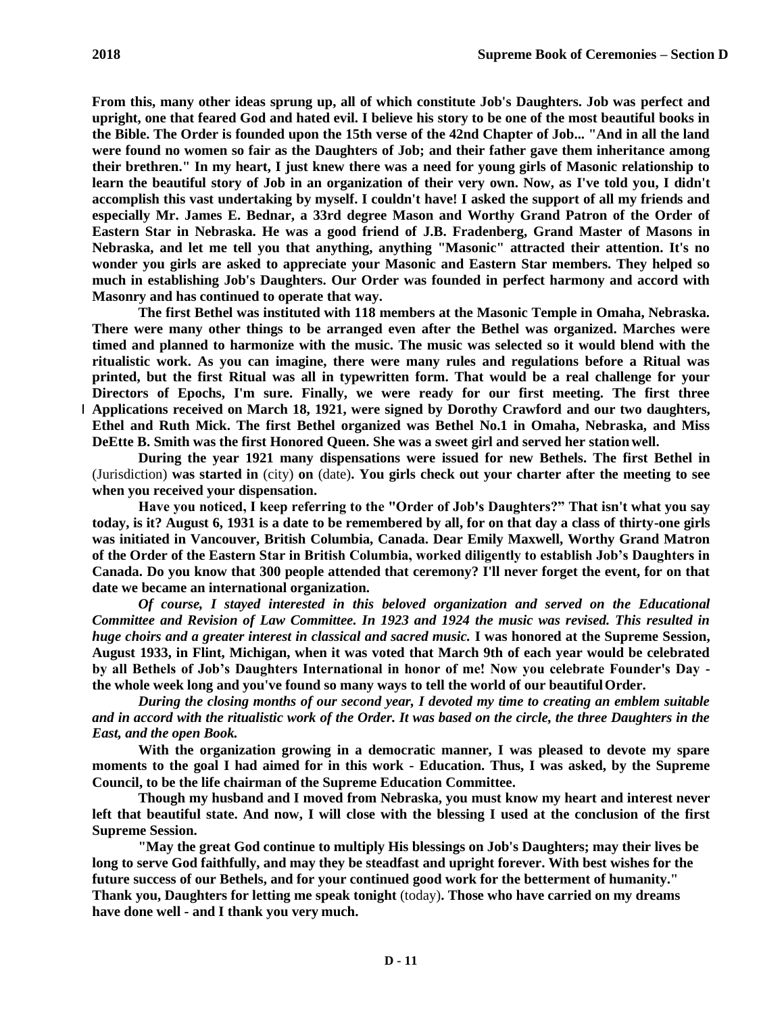**From this, many other ideas sprung up, all of which constitute Job's Daughters. Job was perfect and upright, one that feared God and hated evil. I believe his story to be one of the most beautiful books in the Bible. The Order is founded upon the 15th verse of the 42nd Chapter of Job... "And in all the land were found no women so fair as the Daughters of Job; and their father gave them inheritance among their brethren." In my heart, I just knew there was a need for young girls of Masonic relationship to learn the beautiful story of Job in an organization of their very own. Now, as I've told you, I didn't accomplish this vast undertaking by myself. I couldn't have! I asked the support of all my friends and especially Mr. James E. Bednar, a 33rd degree Mason and Worthy Grand Patron of the Order of Eastern Star in Nebraska. He was a good friend of J.B. Fradenberg, Grand Master of Masons in Nebraska, and let me tell you that anything, anything "Masonic" attracted their attention. It's no wonder you girls are asked to appreciate your Masonic and Eastern Star members. They helped so much in establishing Job's Daughters. Our Order was founded in perfect harmony and accord with Masonry and has continued to operate that way.**

**The first Bethel was instituted with 118 members at the Masonic Temple in Omaha, Nebraska. There were many other things to be arranged even after the Bethel was organized. Marches were timed and planned to harmonize with the music. The music was selected so it would blend with the ritualistic work. As you can imagine, there were many rules and regulations before a Ritual was printed, but the first Ritual was all in typewritten form. That would be a real challenge for your Directors of Epochs, I'm sure. Finally, we were ready for our first meeting. The first three Applications received on March 18, 1921, were signed by Dorothy Crawford and our two daughters, Ethel and Ruth Mick. The first Bethel organized was Bethel No.1 in Omaha, Nebraska, and Miss DeEtte B. Smith was the first Honored Queen. She was a sweet girl and served her station well.**

**During the year 1921 many dispensations were issued for new Bethels. The first Bethel in**  (Jurisdiction) **was started in** (city) **on** (date)**. You girls check out your charter after the meeting to see when you received your dispensation.**

**Have you noticed, I keep referring to the "Order of Job's Daughters?" That isn't what you say today, is it? August 6, 1931 is a date to be remembered by all, for on that day a class of thirty-one girls was initiated in Vancouver, British Columbia, Canada. Dear Emily Maxwell, Worthy Grand Matron of the Order of the Eastern Star in British Columbia, worked diligently to establish Job's Daughters in Canada. Do you know that 300 people attended that ceremony? I'll never forget the event, for on that date we became an international organization.**

*Of course, I stayed interested in this beloved organization and served on the Educational Committee and Revision of Law Committee. In 1923 and 1924 the music was revised. This resulted in huge choirs and a greater interest in classical and sacred music.* **I was honored at the Supreme Session, August 1933, in Flint, Michigan, when it was voted that March 9th of each year would be celebrated by all Bethels of Job's Daughters International in honor of me! Now you celebrate Founder's Day the whole week long and you've found so many ways to tell the world of our beautifulOrder.**

*During the closing months of our second year, I devoted my time to creating an emblem suitable and in accord with the ritualistic work of the Order. It was based on the circle, the three Daughters in the East, and the open Book.*

**With the organization growing in a democratic manner, I was pleased to devote my spare moments to the goal I had aimed for in this work - Education. Thus, I was asked, by the Supreme Council, to be the life chairman of the Supreme Education Committee.**

**Though my husband and I moved from Nebraska, you must know my heart and interest never left that beautiful state. And now, I will close with the blessing I used at the conclusion of the first Supreme Session.**

**"May the great God continue to multiply His blessings on Job's Daughters; may their lives be long to serve God faithfully, and may they be steadfast and upright forever. With best wishes for the future success of our Bethels, and for your continued good work for the betterment of humanity." Thank you, Daughters for letting me speak tonight** (today)**. Those who have carried on my dreams have done well - and I thank you very much.**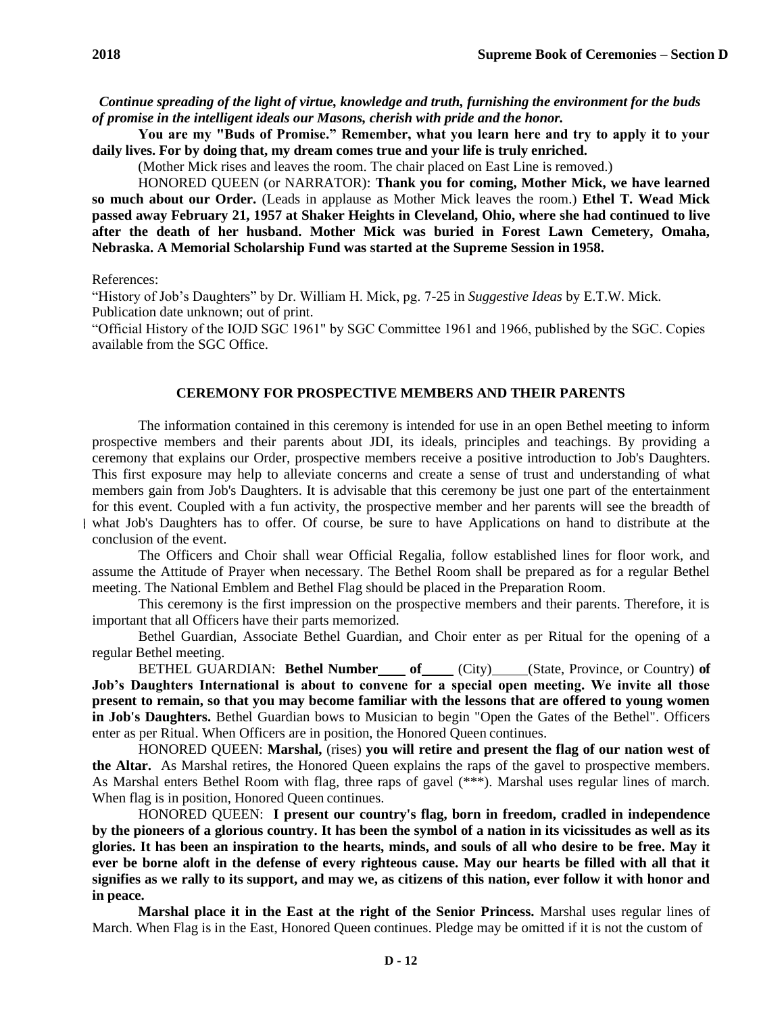*Continue spreading of the light of virtue, knowledge and truth, furnishing the environment for the buds of promise in the intelligent ideals our Masons, cherish with pride and the honor.*

**You are my "Buds of Promise." Remember, what you learn here and try to apply it to your daily lives. For by doing that, my dream comes true and your life is truly enriched.**

(Mother Mick rises and leaves the room. The chair placed on East Line is removed.)

HONORED QUEEN (or NARRATOR): **Thank you for coming, Mother Mick, we have learned so much about our Order.** (Leads in applause as Mother Mick leaves the room.) **Ethel T. Wead Mick passed away February 21, 1957 at Shaker Heights in Cleveland, Ohio, where she had continued to live after the death of her husband. Mother Mick was buried in Forest Lawn Cemetery, Omaha, Nebraska. A Memorial Scholarship Fund was started at the Supreme Session in 1958.**

References:

"History of Job's Daughters" by Dr. William H. Mick, pg. 7-25 in *Suggestive Ideas* by E.T.W. Mick. Publication date unknown; out of print.

"Official History of the IOJD SGC 1961" by SGC Committee 1961 and 1966, published by the SGC. Copies available from the SGC Office.

#### **CEREMONY FOR PROSPECTIVE MEMBERS AND THEIR PARENTS**

The information contained in this ceremony is intended for use in an open Bethel meeting to inform prospective members and their parents about JDI, its ideals, principles and teachings. By providing a ceremony that explains our Order, prospective members receive a positive introduction to Job's Daughters. This first exposure may help to alleviate concerns and create a sense of trust and understanding of what members gain from Job's Daughters. It is advisable that this ceremony be just one part of the entertainment for this event. Coupled with a fun activity, the prospective member and her parents will see the breadth of what Job's Daughters has to offer. Of course, be sure to have Applications on hand to distribute at the conclusion of the event.

The Officers and Choir shall wear Official Regalia, follow established lines for floor work, and assume the Attitude of Prayer when necessary. The Bethel Room shall be prepared as for a regular Bethel meeting. The National Emblem and Bethel Flag should be placed in the Preparation Room.

This ceremony is the first impression on the prospective members and their parents. Therefore, it is important that all Officers have their parts memorized.

Bethel Guardian, Associate Bethel Guardian, and Choir enter as per Ritual for the opening of a regular Bethel meeting.

BETHEL GUARDIAN: Bethel Number of City) (State, Province, or Country) of **Job's Daughters International is about to convene for a special open meeting. We invite all those present to remain, so that you may become familiar with the lessons that are offered to young women in Job's Daughters.** Bethel Guardian bows to Musician to begin "Open the Gates of the Bethel". Officers enter as per Ritual. When Officers are in position, the Honored Queen continues.

HONORED QUEEN: **Marshal,** (rises) **you will retire and present the flag of our nation west of the Altar.** As Marshal retires, the Honored Queen explains the raps of the gavel to prospective members. As Marshal enters Bethel Room with flag, three raps of gavel (\*\*\*). Marshal uses regular lines of march. When flag is in position, Honored Queen continues.

HONORED QUEEN: **I present our country's flag, born in freedom, cradled in independence by the pioneers of a glorious country. It has been the symbol of a nation in its vicissitudes as well as its glories. It has been an inspiration to the hearts, minds, and souls of all who desire to be free. May it ever be borne aloft in the defense of every righteous cause. May our hearts be filled with all that it signifies as we rally to its support, and may we, as citizens of this nation, ever follow it with honor and in peace.**

**Marshal place it in the East at the right of the Senior Princess.** Marshal uses regular lines of March. When Flag is in the East, Honored Queen continues. Pledge may be omitted if it is not the custom of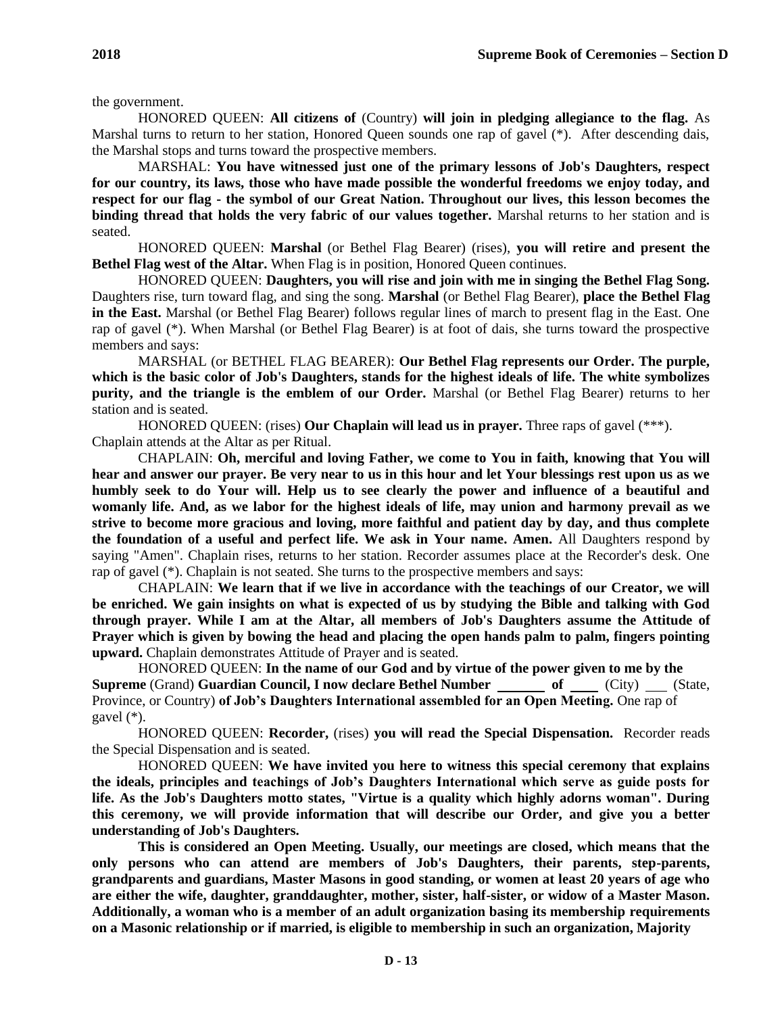the government.

HONORED QUEEN: **All citizens of** (Country) **will join in pledging allegiance to the flag.** As Marshal turns to return to her station, Honored Queen sounds one rap of gavel (\*). After descending dais, the Marshal stops and turns toward the prospective members.

MARSHAL: **You have witnessed just one of the primary lessons of Job's Daughters, respect for our country, its laws, those who have made possible the wonderful freedoms we enjoy today, and respect for our flag - the symbol of our Great Nation. Throughout our lives, this lesson becomes the binding thread that holds the very fabric of our values together.** Marshal returns to her station and is seated.

HONORED QUEEN: **Marshal** (or Bethel Flag Bearer) (rises), **you will retire and present the Bethel Flag west of the Altar.** When Flag is in position, Honored Queen continues.

HONORED QUEEN: **Daughters, you will rise and join with me in singing the Bethel Flag Song.**  Daughters rise, turn toward flag, and sing the song. **Marshal** (or Bethel Flag Bearer), **place the Bethel Flag in the East.** Marshal (or Bethel Flag Bearer) follows regular lines of march to present flag in the East. One rap of gavel (\*). When Marshal (or Bethel Flag Bearer) is at foot of dais, she turns toward the prospective members and says:

MARSHAL (or BETHEL FLAG BEARER): **Our Bethel Flag represents our Order. The purple, which is the basic color of Job's Daughters, stands for the highest ideals of life. The white symbolizes purity, and the triangle is the emblem of our Order.** Marshal (or Bethel Flag Bearer) returns to her station and is seated.

HONORED QUEEN: (rises) **Our Chaplain will lead us in prayer.** Three raps of gavel (\*\*\*). Chaplain attends at the Altar as per Ritual.

CHAPLAIN: **Oh, merciful and loving Father, we come to You in faith, knowing that You will hear and answer our prayer. Be very near to us in this hour and let Your blessings rest upon us as we humbly seek to do Your will. Help us to see clearly the power and influence of a beautiful and womanly life. And, as we labor for the highest ideals of life, may union and harmony prevail as we strive to become more gracious and loving, more faithful and patient day by day, and thus complete the foundation of a useful and perfect life. We ask in Your name. Amen.** All Daughters respond by saying "Amen". Chaplain rises, returns to her station. Recorder assumes place at the Recorder's desk. One rap of gavel (\*). Chaplain is not seated. She turns to the prospective members and says:

CHAPLAIN: **We learn that if we live in accordance with the teachings of our Creator, we will be enriched. We gain insights on what is expected of us by studying the Bible and talking with God through prayer. While I am at the Altar, all members of Job's Daughters assume the Attitude of Prayer which is given by bowing the head and placing the open hands palm to palm, fingers pointing upward.** Chaplain demonstrates Attitude of Prayer and is seated.

HONORED QUEEN: **In the name of our God and by virtue of the power given to me by the Supreme** (Grand) **Guardian Council, I now declare Bethel Number of** (City) (State, Province, or Country) **of Job's Daughters International assembled for an Open Meeting.** One rap of gavel (\*).

HONORED QUEEN: **Recorder,** (rises) **you will read the Special Dispensation.** Recorder reads the Special Dispensation and is seated.

HONORED QUEEN: **We have invited you here to witness this special ceremony that explains the ideals, principles and teachings of Job's Daughters International which serve as guide posts for life. As the Job's Daughters motto states, "Virtue is a quality which highly adorns woman". During this ceremony, we will provide information that will describe our Order, and give you a better understanding of Job's Daughters.**

**This is considered an Open Meeting. Usually, our meetings are closed, which means that the only persons who can attend are members of Job's Daughters, their parents, step-parents, grandparents and guardians, Master Masons in good standing, or women at least 20 years of age who are either the wife, daughter, granddaughter, mother, sister, half-sister, or widow of a Master Mason. Additionally, a woman who is a member of an adult organization basing its membership requirements on a Masonic relationship or if married, is eligible to membership in such an organization, Majority**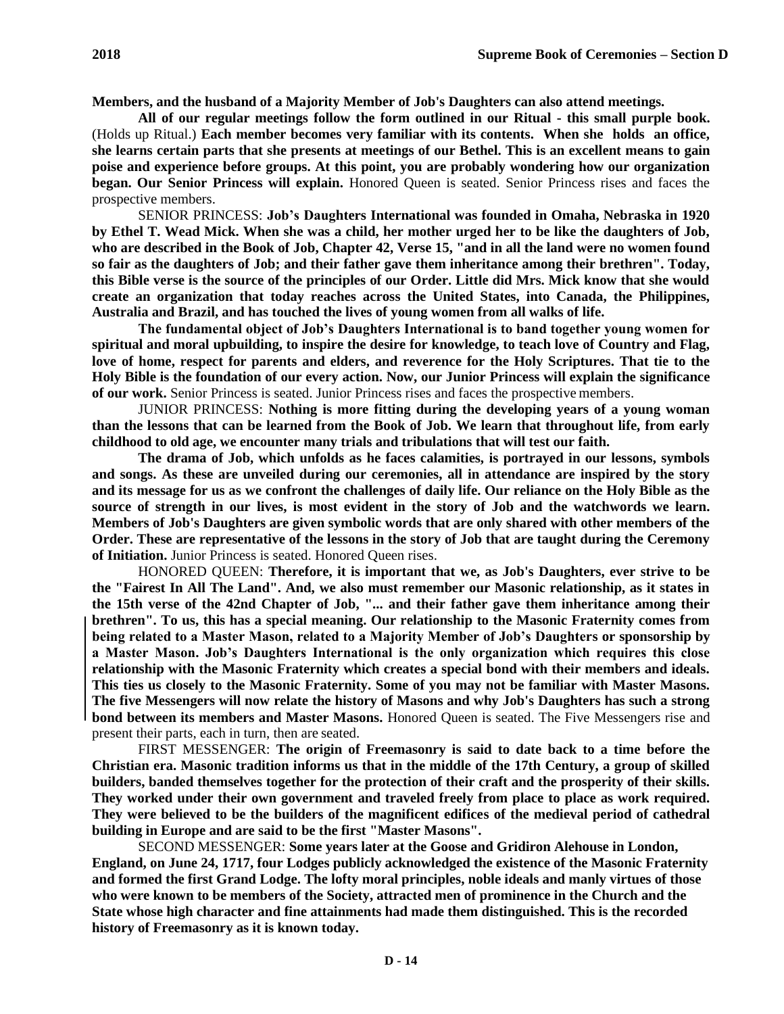**Members, and the husband of a Majority Member of Job's Daughters can also attend meetings.**

**All of our regular meetings follow the form outlined in our Ritual - this small purple book.**  (Holds up Ritual.) **Each member becomes very familiar with its contents. When she holds an office, she learns certain parts that she presents at meetings of our Bethel. This is an excellent means to gain poise and experience before groups. At this point, you are probably wondering how our organization began. Our Senior Princess will explain.** Honored Queen is seated. Senior Princess rises and faces the prospective members.

SENIOR PRINCESS: **Job's Daughters International was founded in Omaha, Nebraska in 1920 by Ethel T. Wead Mick. When she was a child, her mother urged her to be like the daughters of Job, who are described in the Book of Job, Chapter 42, Verse 15, "and in all the land were no women found so fair as the daughters of Job; and their father gave them inheritance among their brethren". Today, this Bible verse is the source of the principles of our Order. Little did Mrs. Mick know that she would create an organization that today reaches across the United States, into Canada, the Philippines, Australia and Brazil, and has touched the lives of young women from all walks of life.**

**The fundamental object of Job's Daughters International is to band together young women for spiritual and moral upbuilding, to inspire the desire for knowledge, to teach love of Country and Flag, love of home, respect for parents and elders, and reverence for the Holy Scriptures. That tie to the Holy Bible is the foundation of our every action. Now, our Junior Princess will explain the significance of our work.** Senior Princess is seated. Junior Princess rises and faces the prospective members.

JUNIOR PRINCESS: **Nothing is more fitting during the developing years of a young woman than the lessons that can be learned from the Book of Job. We learn that throughout life, from early childhood to old age, we encounter many trials and tribulations that will test our faith.**

**The drama of Job, which unfolds as he faces calamities, is portrayed in our lessons, symbols and songs. As these are unveiled during our ceremonies, all in attendance are inspired by the story and its message for us as we confront the challenges of daily life. Our reliance on the Holy Bible as the source of strength in our lives, is most evident in the story of Job and the watchwords we learn. Members of Job's Daughters are given symbolic words that are only shared with other members of the Order. These are representative of the lessons in the story of Job that are taught during the Ceremony of Initiation.** Junior Princess is seated. Honored Queen rises.

HONORED QUEEN: **Therefore, it is important that we, as Job's Daughters, ever strive to be the "Fairest In All The Land". And, we also must remember our Masonic relationship, as it states in the 15th verse of the 42nd Chapter of Job, "... and their father gave them inheritance among their brethren". To us, this has a special meaning. Our relationship to the Masonic Fraternity comes from being related to a Master Mason, related to a Majority Member of Job's Daughters or sponsorship by a Master Mason. Job's Daughters International is the only organization which requires this close relationship with the Masonic Fraternity which creates a special bond with their members and ideals. This ties us closely to the Masonic Fraternity. Some of you may not be familiar with Master Masons. The five Messengers will now relate the history of Masons and why Job's Daughters has such a strong bond between its members and Master Masons.** Honored Queen is seated. The Five Messengers rise and present their parts, each in turn, then are seated.

FIRST MESSENGER: **The origin of Freemasonry is said to date back to a time before the Christian era. Masonic tradition informs us that in the middle of the 17th Century, a group of skilled builders, banded themselves together for the protection of their craft and the prosperity of their skills. They worked under their own government and traveled freely from place to place as work required. They were believed to be the builders of the magnificent edifices of the medieval period of cathedral building in Europe and are said to be the first "Master Masons".**

SECOND MESSENGER: **Some years later at the Goose and Gridiron Alehouse in London, England, on June 24, 1717, four Lodges publicly acknowledged the existence of the Masonic Fraternity and formed the first Grand Lodge. The lofty moral principles, noble ideals and manly virtues of those who were known to be members of the Society, attracted men of prominence in the Church and the State whose high character and fine attainments had made them distinguished. This is the recorded history of Freemasonry as it is known today.**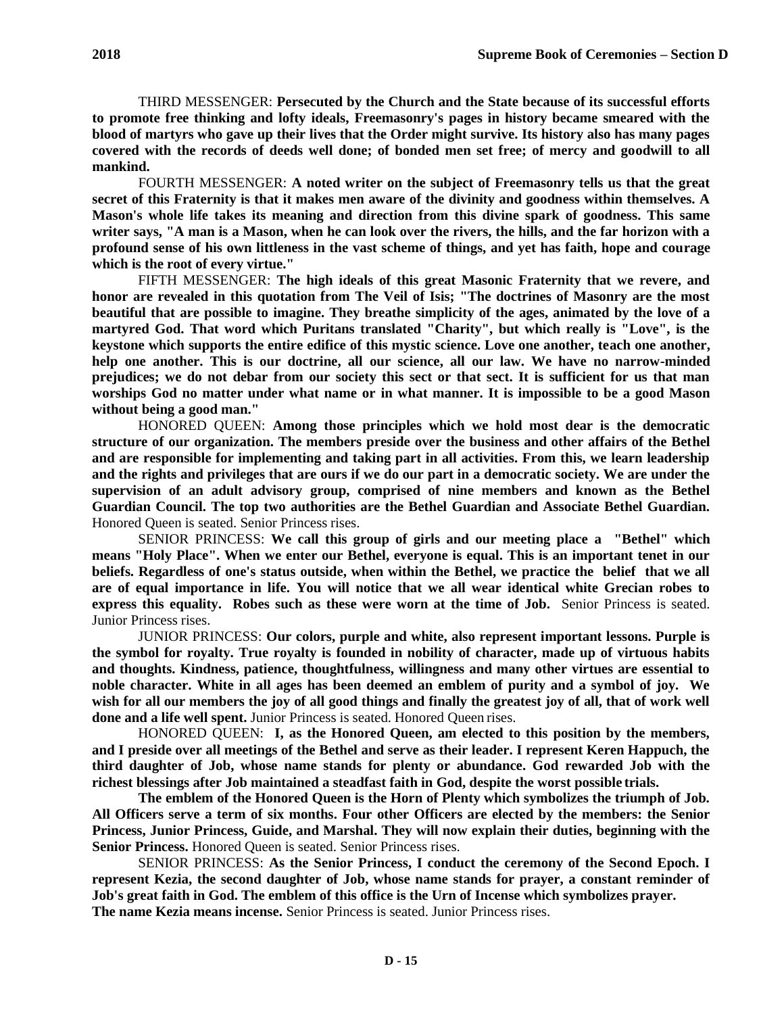THIRD MESSENGER: **Persecuted by the Church and the State because of its successful efforts to promote free thinking and lofty ideals, Freemasonry's pages in history became smeared with the blood of martyrs who gave up their lives that the Order might survive. Its history also has many pages covered with the records of deeds well done; of bonded men set free; of mercy and goodwill to all mankind.**

FOURTH MESSENGER: **A noted writer on the subject of Freemasonry tells us that the great secret of this Fraternity is that it makes men aware of the divinity and goodness within themselves. A Mason's whole life takes its meaning and direction from this divine spark of goodness. This same writer says, "A man is a Mason, when he can look over the rivers, the hills, and the far horizon with a profound sense of his own littleness in the vast scheme of things, and yet has faith, hope and courage which is the root of every virtue."**

FIFTH MESSENGER: **The high ideals of this great Masonic Fraternity that we revere, and honor are revealed in this quotation from The Veil of Isis; "The doctrines of Masonry are the most beautiful that are possible to imagine. They breathe simplicity of the ages, animated by the love of a martyred God. That word which Puritans translated "Charity", but which really is "Love", is the keystone which supports the entire edifice of this mystic science. Love one another, teach one another, help one another. This is our doctrine, all our science, all our law. We have no narrow-minded prejudices; we do not debar from our society this sect or that sect. It is sufficient for us that man worships God no matter under what name or in what manner. It is impossible to be a good Mason without being a good man."**

HONORED QUEEN: **Among those principles which we hold most dear is the democratic structure of our organization. The members preside over the business and other affairs of the Bethel and are responsible for implementing and taking part in all activities. From this, we learn leadership and the rights and privileges that are ours if we do our part in a democratic society. We are under the supervision of an adult advisory group, comprised of nine members and known as the Bethel Guardian Council. The top two authorities are the Bethel Guardian and Associate Bethel Guardian.**  Honored Queen is seated. Senior Princess rises.

SENIOR PRINCESS: **We call this group of girls and our meeting place a "Bethel" which means "Holy Place". When we enter our Bethel, everyone is equal. This is an important tenet in our beliefs. Regardless of one's status outside, when within the Bethel, we practice the belief that we all are of equal importance in life. You will notice that we all wear identical white Grecian robes to express this equality. Robes such as these were worn at the time of Job.** Senior Princess is seated. Junior Princess rises.

JUNIOR PRINCESS: **Our colors, purple and white, also represent important lessons. Purple is the symbol for royalty. True royalty is founded in nobility of character, made up of virtuous habits and thoughts. Kindness, patience, thoughtfulness, willingness and many other virtues are essential to noble character. White in all ages has been deemed an emblem of purity and a symbol of joy. We wish for all our members the joy of all good things and finally the greatest joy of all, that of work well done and a life well spent.** Junior Princess is seated. Honored Queen rises.

HONORED QUEEN: **I, as the Honored Queen, am elected to this position by the members, and I preside over all meetings of the Bethel and serve as their leader. I represent Keren Happuch, the third daughter of Job, whose name stands for plenty or abundance. God rewarded Job with the richest blessings after Job maintained a steadfast faith in God, despite the worst possible trials.**

**The emblem of the Honored Queen is the Horn of Plenty which symbolizes the triumph of Job. All Officers serve a term of six months. Four other Officers are elected by the members: the Senior Princess, Junior Princess, Guide, and Marshal. They will now explain their duties, beginning with the Senior Princess.** Honored Queen is seated. Senior Princess rises.

SENIOR PRINCESS: **As the Senior Princess, I conduct the ceremony of the Second Epoch. I represent Kezia, the second daughter of Job, whose name stands for prayer, a constant reminder of Job's great faith in God. The emblem of this office is the Urn of Incense which symbolizes prayer. The name Kezia means incense.** Senior Princess is seated. Junior Princess rises.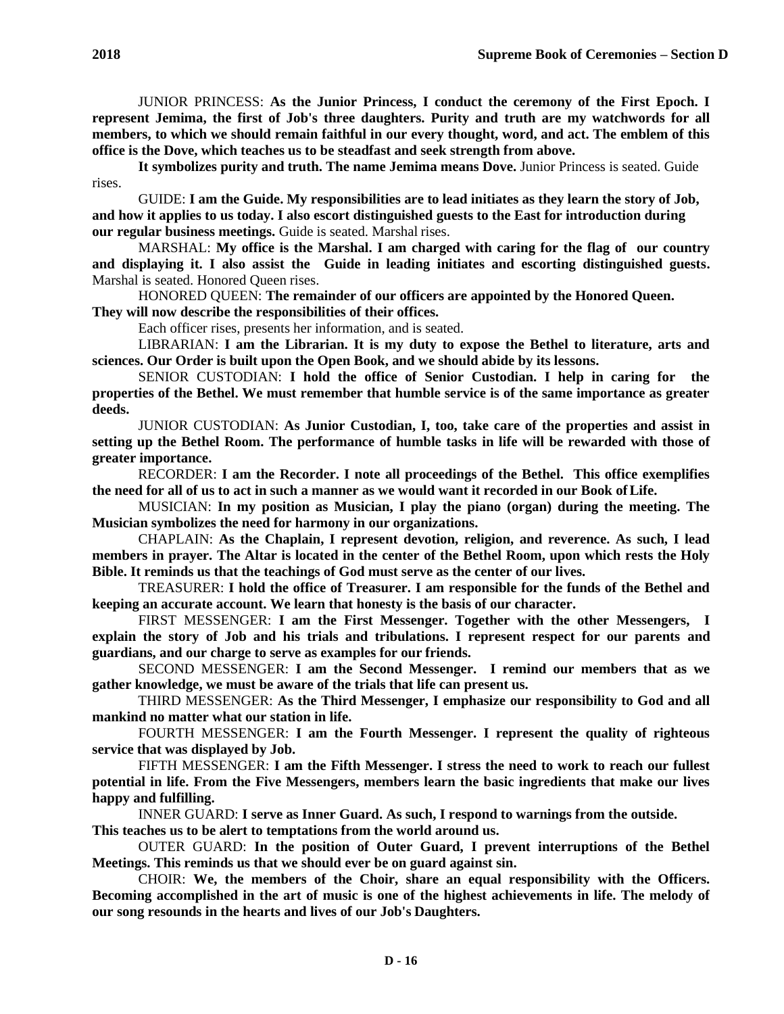**It symbolizes purity and truth. The name Jemima means Dove.** Junior Princess is seated. Guide rises.

GUIDE: **I am the Guide. My responsibilities are to lead initiates as they learn the story of Job, and how it applies to us today. I also escort distinguished guests to the East for introduction during our regular business meetings.** Guide is seated. Marshal rises.

MARSHAL: **My office is the Marshal. I am charged with caring for the flag of our country and displaying it. I also assist the Guide in leading initiates and escorting distinguished guests.**  Marshal is seated. Honored Queen rises.

HONORED QUEEN: **The remainder of our officers are appointed by the Honored Queen. They will now describe the responsibilities of their offices.**

Each officer rises, presents her information, and is seated.

LIBRARIAN: **I am the Librarian. It is my duty to expose the Bethel to literature, arts and sciences. Our Order is built upon the Open Book, and we should abide by its lessons.**

SENIOR CUSTODIAN: **I hold the office of Senior Custodian. I help in caring for the properties of the Bethel. We must remember that humble service is of the same importance as greater deeds.**

JUNIOR CUSTODIAN: **As Junior Custodian, I, too, take care of the properties and assist in setting up the Bethel Room. The performance of humble tasks in life will be rewarded with those of greater importance.**

RECORDER: **I am the Recorder. I note all proceedings of the Bethel. This office exemplifies the need for all of us to act in such a manner as we would want it recorded in our Book ofLife.**

MUSICIAN: **In my position as Musician, I play the piano (organ) during the meeting. The Musician symbolizes the need for harmony in our organizations.**

CHAPLAIN: **As the Chaplain, I represent devotion, religion, and reverence. As such, I lead members in prayer. The Altar is located in the center of the Bethel Room, upon which rests the Holy Bible. It reminds us that the teachings of God must serve as the center of our lives.**

TREASURER: **I hold the office of Treasurer. I am responsible for the funds of the Bethel and keeping an accurate account. We learn that honesty is the basis of our character.**

FIRST MESSENGER: **I am the First Messenger. Together with the other Messengers, I explain the story of Job and his trials and tribulations. I represent respect for our parents and guardians, and our charge to serve as examples for our friends.**

SECOND MESSENGER: **I am the Second Messenger. I remind our members that as we gather knowledge, we must be aware of the trials that life can present us.**

THIRD MESSENGER: **As the Third Messenger, I emphasize our responsibility to God and all mankind no matter what our station in life.**

FOURTH MESSENGER: **I am the Fourth Messenger. I represent the quality of righteous service that was displayed by Job.**

FIFTH MESSENGER: **I am the Fifth Messenger. I stress the need to work to reach our fullest potential in life. From the Five Messengers, members learn the basic ingredients that make our lives happy and fulfilling.**

INNER GUARD: **I serve as Inner Guard. As such, I respond to warnings from the outside. This teaches us to be alert to temptations from the world around us.**

OUTER GUARD: **In the position of Outer Guard, I prevent interruptions of the Bethel Meetings. This reminds us that we should ever be on guard against sin.**

CHOIR: **We, the members of the Choir, share an equal responsibility with the Officers. Becoming accomplished in the art of music is one of the highest achievements in life. The melody of our song resounds in the hearts and lives of our Job's Daughters.**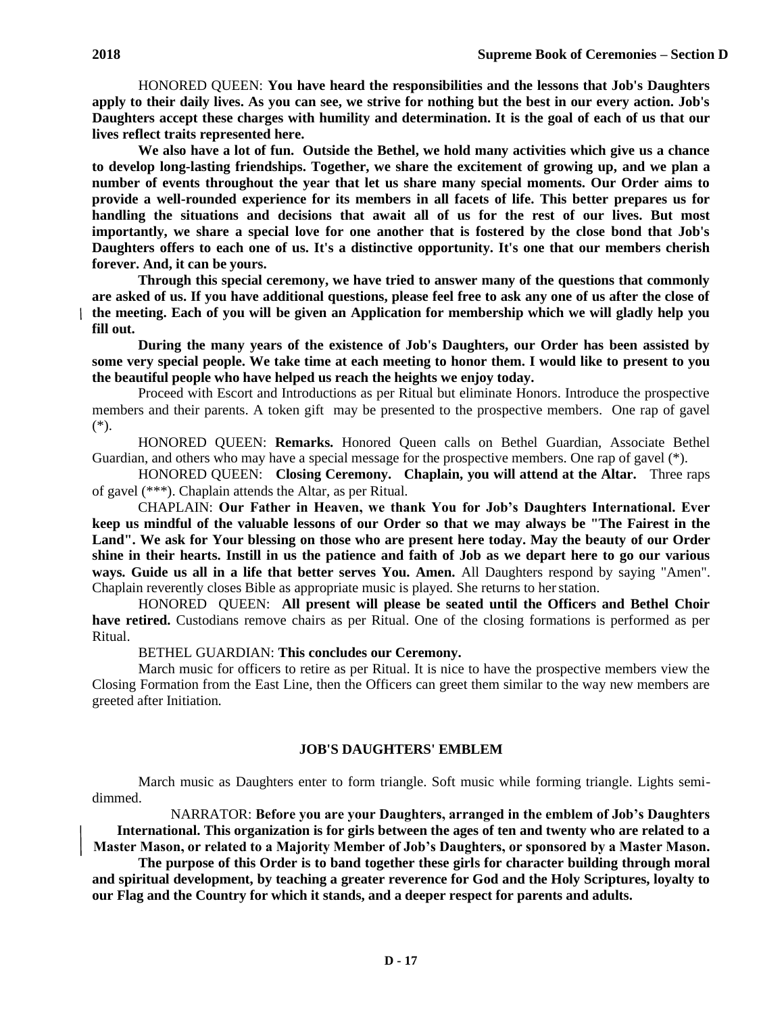HONORED QUEEN: **You have heard the responsibilities and the lessons that Job's Daughters apply to their daily lives. As you can see, we strive for nothing but the best in our every action. Job's Daughters accept these charges with humility and determination. It is the goal of each of us that our lives reflect traits represented here.**

**We also have a lot of fun. Outside the Bethel, we hold many activities which give us a chance to develop long-lasting friendships. Together, we share the excitement of growing up, and we plan a number of events throughout the year that let us share many special moments. Our Order aims to provide a well-rounded experience for its members in all facets of life. This better prepares us for handling the situations and decisions that await all of us for the rest of our lives. But most importantly, we share a special love for one another that is fostered by the close bond that Job's Daughters offers to each one of us. It's a distinctive opportunity. It's one that our members cherish forever. And, it can be yours.**

**Through this special ceremony, we have tried to answer many of the questions that commonly are asked of us. If you have additional questions, please feel free to ask any one of us after the close of the meeting. Each of you will be given an Application for membership which we will gladly help you fill out.**

**During the many years of the existence of Job's Daughters, our Order has been assisted by some very special people. We take time at each meeting to honor them. I would like to present to you the beautiful people who have helped us reach the heights we enjoy today.**

Proceed with Escort and Introductions as per Ritual but eliminate Honors. Introduce the prospective members and their parents. A token gift may be presented to the prospective members. One rap of gavel (\*).

HONORED QUEEN: **Remarks.** Honored Queen calls on Bethel Guardian, Associate Bethel Guardian, and others who may have a special message for the prospective members. One rap of gavel (\*).

HONORED QUEEN: **Closing Ceremony. Chaplain, you will attend at the Altar.** Three raps of gavel (\*\*\*). Chaplain attends the Altar, as per Ritual.

CHAPLAIN: **Our Father in Heaven, we thank You for Job's Daughters International. Ever keep us mindful of the valuable lessons of our Order so that we may always be "The Fairest in the Land". We ask for Your blessing on those who are present here today. May the beauty of our Order shine in their hearts. Instill in us the patience and faith of Job as we depart here to go our various ways. Guide us all in a life that better serves You. Amen.** All Daughters respond by saying "Amen". Chaplain reverently closes Bible as appropriate music is played. She returns to herstation.

HONORED QUEEN: **All present will please be seated until the Officers and Bethel Choir have retired.** Custodians remove chairs as per Ritual. One of the closing formations is performed as per Ritual.

BETHEL GUARDIAN: **This concludes our Ceremony.**

March music for officers to retire as per Ritual. It is nice to have the prospective members view the Closing Formation from the East Line, then the Officers can greet them similar to the way new members are greeted after Initiation.

### **JOB'S DAUGHTERS' EMBLEM**

March music as Daughters enter to form triangle. Soft music while forming triangle. Lights semidimmed.

NARRATOR: **Before you are your Daughters, arranged in the emblem of Job's Daughters International. This organization is for girls between the ages of ten and twenty who are related to a Master Mason, or related to a Majority Member of Job's Daughters, or sponsored by a Master Mason.**

**The purpose of this Order is to band together these girls for character building through moral and spiritual development, by teaching a greater reverence for God and the Holy Scriptures, loyalty to our Flag and the Country for which it stands, and a deeper respect for parents and adults.**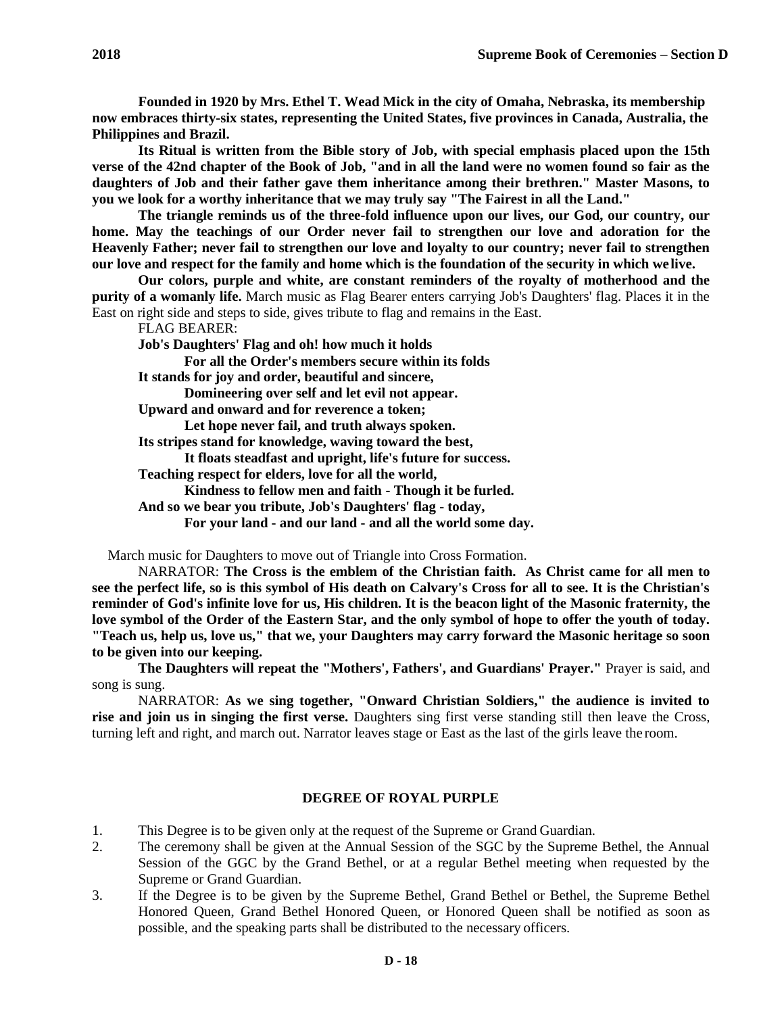**Founded in 1920 by Mrs. Ethel T. Wead Mick in the city of Omaha, Nebraska, its membership now embraces thirty-six states, representing the United States, five provinces in Canada, Australia, the Philippines and Brazil.**

**Its Ritual is written from the Bible story of Job, with special emphasis placed upon the 15th verse of the 42nd chapter of the Book of Job, "and in all the land were no women found so fair as the daughters of Job and their father gave them inheritance among their brethren." Master Masons, to you we look for a worthy inheritance that we may truly say "The Fairest in all the Land."**

**The triangle reminds us of the three-fold influence upon our lives, our God, our country, our home. May the teachings of our Order never fail to strengthen our love and adoration for the Heavenly Father; never fail to strengthen our love and loyalty to our country; never fail to strengthen our love and respect for the family and home which is the foundation of the security in which we live.**

**Our colors, purple and white, are constant reminders of the royalty of motherhood and the purity of a womanly life.** March music as Flag Bearer enters carrying Job's Daughters' flag. Places it in the East on right side and steps to side, gives tribute to flag and remains in the East.

FLAG BEARER:

**Job's Daughters' Flag and oh! how much it holds**

**For all the Order's members secure within its folds** 

**It stands for joy and order, beautiful and sincere,**

**Domineering over self and let evil not appear.**

**Upward and onward and for reverence a token;**

**Let hope never fail, and truth always spoken.**

**Its stripes stand for knowledge, waving toward the best,**

**It floats steadfast and upright, life's future for success.**

**Teaching respect for elders, love for all the world,**

**Kindness to fellow men and faith - Though it be furled.**

**And so we bear you tribute, Job's Daughters' flag - today,**

**For your land - and our land - and all the world some day.**

March music for Daughters to move out of Triangle into Cross Formation.

NARRATOR: **The Cross is the emblem of the Christian faith. As Christ came for all men to see the perfect life, so is this symbol of His death on Calvary's Cross for all to see. It is the Christian's reminder of God's infinite love for us, His children. It is the beacon light of the Masonic fraternity, the love symbol of the Order of the Eastern Star, and the only symbol of hope to offer the youth of today. "Teach us, help us, love us," that we, your Daughters may carry forward the Masonic heritage so soon to be given into our keeping.**

**The Daughters will repeat the "Mothers', Fathers', and Guardians' Prayer."** Prayer is said, and song is sung.

NARRATOR: **As we sing together, "Onward Christian Soldiers," the audience is invited to rise and join us in singing the first verse.** Daughters sing first verse standing still then leave the Cross, turning left and right, and march out. Narrator leaves stage or East as the last of the girls leave the room.

### **DEGREE OF ROYAL PURPLE**

- 1. This Degree is to be given only at the request of the Supreme or Grand Guardian.
- 2. The ceremony shall be given at the Annual Session of the SGC by the Supreme Bethel, the Annual Session of the GGC by the Grand Bethel, or at a regular Bethel meeting when requested by the Supreme or Grand Guardian.
- 3. If the Degree is to be given by the Supreme Bethel, Grand Bethel or Bethel, the Supreme Bethel Honored Queen, Grand Bethel Honored Queen, or Honored Queen shall be notified as soon as possible, and the speaking parts shall be distributed to the necessary officers.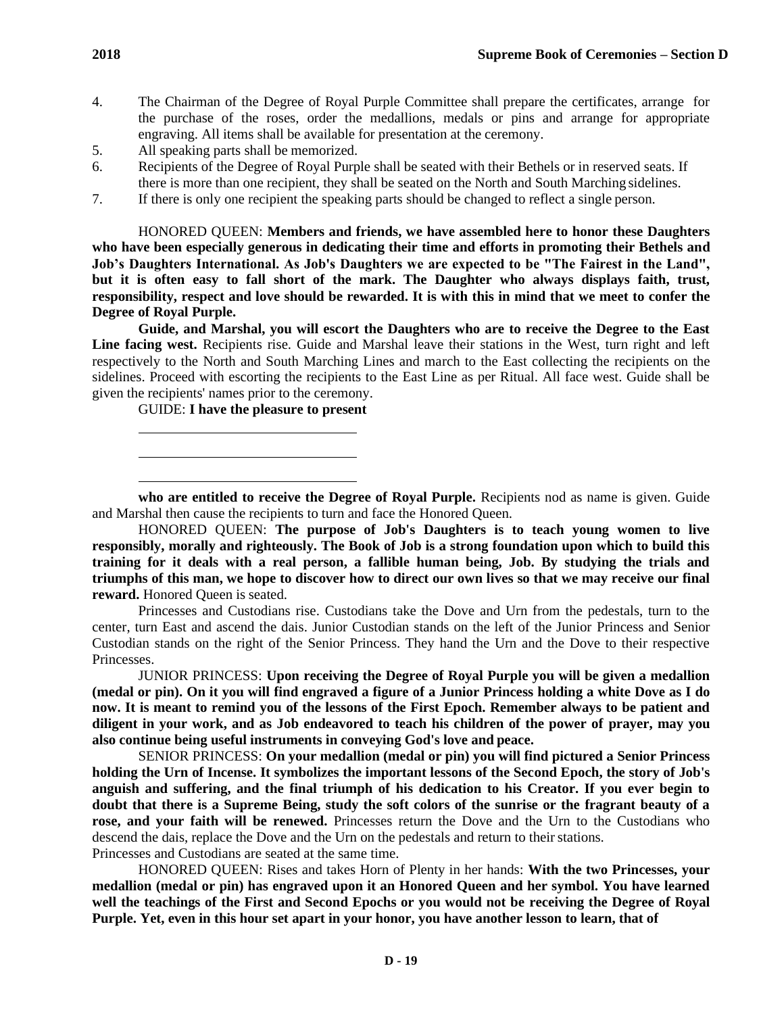- 4. The Chairman of the Degree of Royal Purple Committee shall prepare the certificates, arrange for the purchase of the roses, order the medallions, medals or pins and arrange for appropriate engraving. All items shall be available for presentation at the ceremony.
- 5. All speaking parts shall be memorized.
- 6. Recipients of the Degree of Royal Purple shall be seated with their Bethels or in reserved seats. If there is more than one recipient, they shall be seated on the North and South Marching sidelines.
- 7. If there is only one recipient the speaking parts should be changed to reflect a single person.

HONORED QUEEN: **Members and friends, we have assembled here to honor these Daughters who have been especially generous in dedicating their time and efforts in promoting their Bethels and Job's Daughters International. As Job's Daughters we are expected to be "The Fairest in the Land", but it is often easy to fall short of the mark. The Daughter who always displays faith, trust, responsibility, respect and love should be rewarded. It is with this in mind that we meet to confer the Degree of Royal Purple.**

**Guide, and Marshal, you will escort the Daughters who are to receive the Degree to the East Line facing west.** Recipients rise. Guide and Marshal leave their stations in the West, turn right and left respectively to the North and South Marching Lines and march to the East collecting the recipients on the sidelines. Proceed with escorting the recipients to the East Line as per Ritual. All face west. Guide shall be given the recipients' names prior to the ceremony.

GUIDE: **I have the pleasure to present**

**who are entitled to receive the Degree of Royal Purple.** Recipients nod as name is given. Guide and Marshal then cause the recipients to turn and face the Honored Queen.

HONORED QUEEN: **The purpose of Job's Daughters is to teach young women to live responsibly, morally and righteously. The Book of Job is a strong foundation upon which to build this training for it deals with a real person, a fallible human being, Job. By studying the trials and triumphs of this man, we hope to discover how to direct our own lives so that we may receive our final reward.** Honored Queen is seated.

Princesses and Custodians rise. Custodians take the Dove and Urn from the pedestals, turn to the center, turn East and ascend the dais. Junior Custodian stands on the left of the Junior Princess and Senior Custodian stands on the right of the Senior Princess. They hand the Urn and the Dove to their respective Princesses.

JUNIOR PRINCESS: **Upon receiving the Degree of Royal Purple you will be given a medallion (medal or pin). On it you will find engraved a figure of a Junior Princess holding a white Dove as I do now. It is meant to remind you of the lessons of the First Epoch. Remember always to be patient and diligent in your work, and as Job endeavored to teach his children of the power of prayer, may you also continue being useful instruments in conveying God's love and peace.**

SENIOR PRINCESS: **On your medallion (medal or pin) you will find pictured a Senior Princess holding the Urn of Incense. It symbolizes the important lessons of the Second Epoch, the story of Job's anguish and suffering, and the final triumph of his dedication to his Creator. If you ever begin to doubt that there is a Supreme Being, study the soft colors of the sunrise or the fragrant beauty of a rose, and your faith will be renewed.** Princesses return the Dove and the Urn to the Custodians who descend the dais, replace the Dove and the Urn on the pedestals and return to their stations. Princesses and Custodians are seated at the same time.

HONORED QUEEN: Rises and takes Horn of Plenty in her hands: **With the two Princesses, your medallion (medal or pin) has engraved upon it an Honored Queen and her symbol. You have learned well the teachings of the First and Second Epochs or you would not be receiving the Degree of Royal Purple. Yet, even in this hour set apart in your honor, you have another lesson to learn, that of**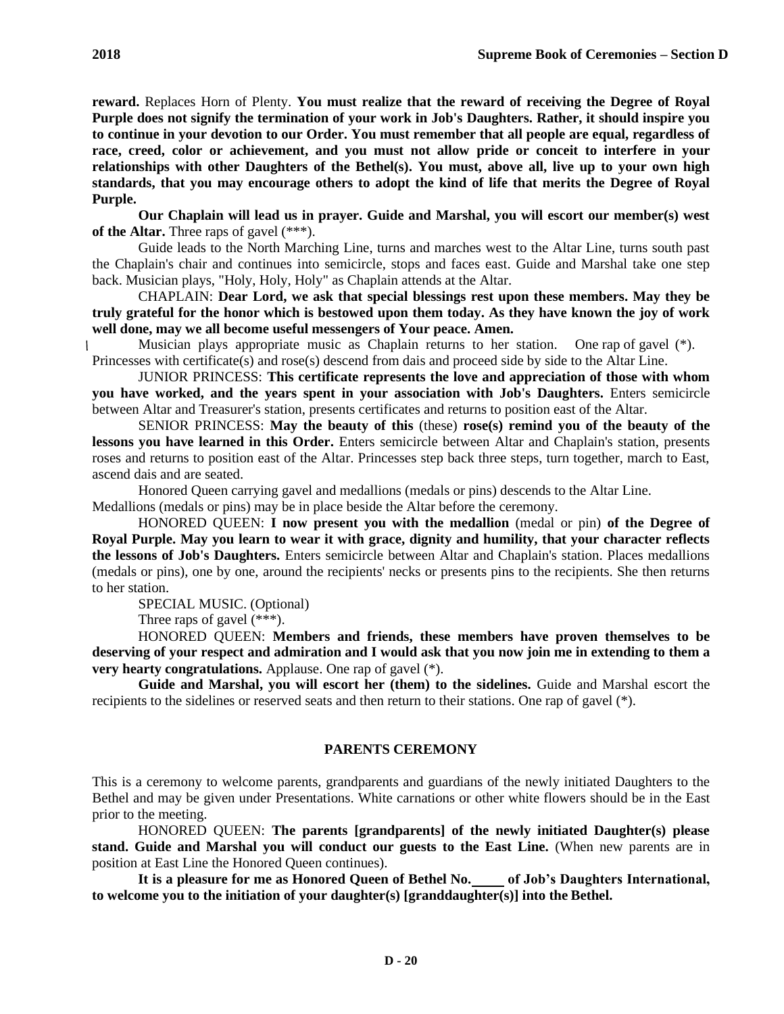**reward.** Replaces Horn of Plenty. **You must realize that the reward of receiving the Degree of Royal Purple does not signify the termination of your work in Job's Daughters. Rather, it should inspire you to continue in your devotion to our Order. You must remember that all people are equal, regardless of race, creed, color or achievement, and you must not allow pride or conceit to interfere in your relationships with other Daughters of the Bethel(s). You must, above all, live up to your own high standards, that you may encourage others to adopt the kind of life that merits the Degree of Royal Purple.**

**Our Chaplain will lead us in prayer. Guide and Marshal, you will escort our member(s) west of the Altar.** Three raps of gavel (\*\*\*).

Guide leads to the North Marching Line, turns and marches west to the Altar Line, turns south past the Chaplain's chair and continues into semicircle, stops and faces east. Guide and Marshal take one step back. Musician plays, "Holy, Holy, Holy" as Chaplain attends at the Altar.

CHAPLAIN: **Dear Lord, we ask that special blessings rest upon these members. May they be truly grateful for the honor which is bestowed upon them today. As they have known the joy of work well done, may we all become useful messengers of Your peace. Amen.**

Musician plays appropriate music as Chaplain returns to her station. One rap of gavel  $(*)$ . Princesses with certificate(s) and rose(s) descend from dais and proceed side by side to the Altar Line.

JUNIOR PRINCESS: **This certificate represents the love and appreciation of those with whom you have worked, and the years spent in your association with Job's Daughters.** Enters semicircle between Altar and Treasurer's station, presents certificates and returns to position east of the Altar.

SENIOR PRINCESS: **May the beauty of this** (these) **rose(s) remind you of the beauty of the lessons you have learned in this Order.** Enters semicircle between Altar and Chaplain's station, presents roses and returns to position east of the Altar. Princesses step back three steps, turn together, march to East, ascend dais and are seated.

Honored Queen carrying gavel and medallions (medals or pins) descends to the Altar Line. Medallions (medals or pins) may be in place beside the Altar before the ceremony.

HONORED QUEEN: **I now present you with the medallion** (medal or pin) **of the Degree of Royal Purple. May you learn to wear it with grace, dignity and humility, that your character reflects** 

**the lessons of Job's Daughters.** Enters semicircle between Altar and Chaplain's station. Places medallions (medals or pins), one by one, around the recipients' necks or presents pins to the recipients. She then returns to her station.

SPECIAL MUSIC. (Optional)

Three raps of gavel (\*\*\*).

HONORED QUEEN: **Members and friends, these members have proven themselves to be deserving of your respect and admiration and I would ask that you now join me in extending to them a very hearty congratulations.** Applause. One rap of gavel  $(*)$ .

**Guide and Marshal, you will escort her (them) to the sidelines.** Guide and Marshal escort the recipients to the sidelines or reserved seats and then return to their stations. One rap of gavel (\*).

## **PARENTS CEREMONY**

This is a ceremony to welcome parents, grandparents and guardians of the newly initiated Daughters to the Bethel and may be given under Presentations. White carnations or other white flowers should be in the East prior to the meeting.

HONORED QUEEN: **The parents [grandparents] of the newly initiated Daughter(s) please**  stand. Guide and Marshal you will conduct our guests to the East Line. (When new parents are in position at East Line the Honored Queen continues).

It is a pleasure for me as Honored Queen of Bethel No. of Job's Daughters International, **to welcome you to the initiation of your daughter(s) [granddaughter(s)] into the Bethel.**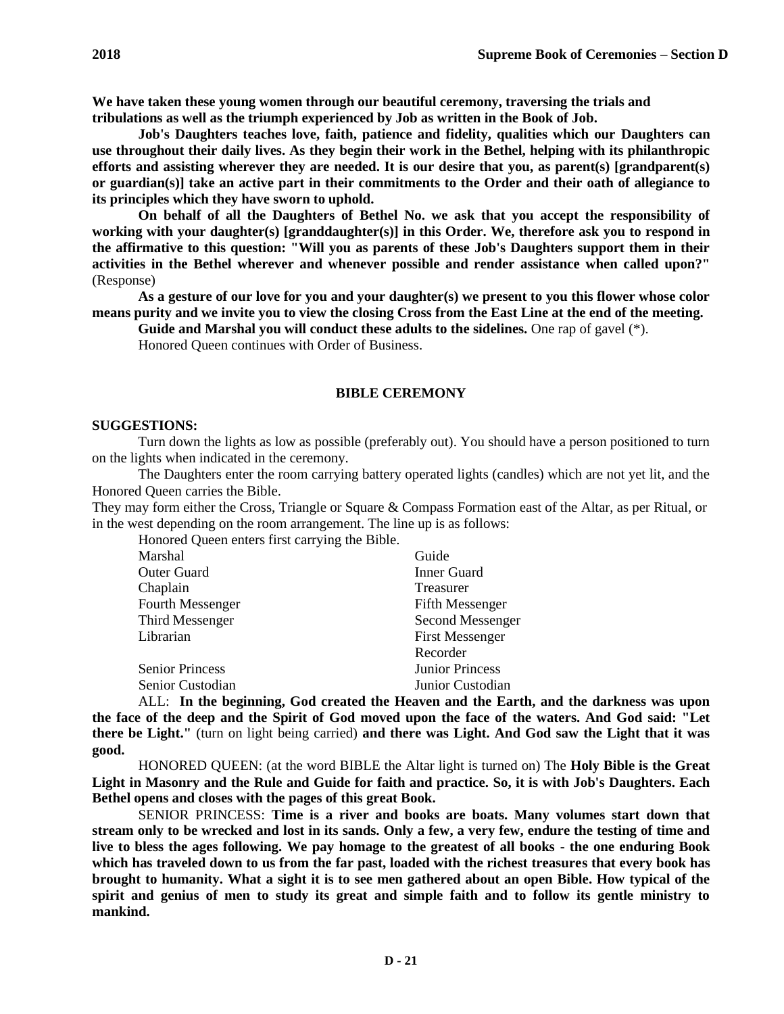**We have taken these young women through our beautiful ceremony, traversing the trials and tribulations as well as the triumph experienced by Job as written in the Book of Job.**

**Job's Daughters teaches love, faith, patience and fidelity, qualities which our Daughters can use throughout their daily lives. As they begin their work in the Bethel, helping with its philanthropic efforts and assisting wherever they are needed. It is our desire that you, as parent(s) [grandparent(s) or guardian(s)] take an active part in their commitments to the Order and their oath of allegiance to its principles which they have sworn to uphold.**

**On behalf of all the Daughters of Bethel No. we ask that you accept the responsibility of working with your daughter(s) [granddaughter(s)] in this Order. We, therefore ask you to respond in the affirmative to this question: "Will you as parents of these Job's Daughters support them in their activities in the Bethel wherever and whenever possible and render assistance when called upon?"**  (Response)

**As a gesture of our love for you and your daughter(s) we present to you this flower whose color means purity and we invite you to view the closing Cross from the East Line at the end of the meeting.**

**Guide and Marshal you will conduct these adults to the sidelines.** One rap of gavel (\*).

Honored Queen continues with Order of Business.

#### **BIBLE CEREMONY**

#### **SUGGESTIONS:**

Turn down the lights as low as possible (preferably out). You should have a person positioned to turn on the lights when indicated in the ceremony.

The Daughters enter the room carrying battery operated lights (candles) which are not yet lit, and the Honored Queen carries the Bible.

They may form either the Cross, Triangle or Square & Compass Formation east of the Altar, as per Ritual, or in the west depending on the room arrangement. The line up is as follows:

Honored Queen enters first carrying the Bible.

| Marshal                 | Guide                  |
|-------------------------|------------------------|
| Outer Guard             | <b>Inner Guard</b>     |
| Chaplain                | Treasurer              |
| <b>Fourth Messenger</b> | <b>Fifth Messenger</b> |
| Third Messenger         | Second Messenger       |
| Librarian               | <b>First Messenger</b> |
|                         | Recorder               |
| <b>Senior Princess</b>  | <b>Junior Princess</b> |
| Senior Custodian        | Junior Custodian       |
|                         |                        |

ALL: **In the beginning, God created the Heaven and the Earth, and the darkness was upon the face of the deep and the Spirit of God moved upon the face of the waters. And God said: "Let there be Light."** (turn on light being carried) **and there was Light. And God saw the Light that it was good.**

HONORED QUEEN: (at the word BIBLE the Altar light is turned on) The **Holy Bible is the Great Light in Masonry and the Rule and Guide for faith and practice. So, it is with Job's Daughters. Each Bethel opens and closes with the pages of this great Book.**

SENIOR PRINCESS: **Time is a river and books are boats. Many volumes start down that stream only to be wrecked and lost in its sands. Only a few, a very few, endure the testing of time and live to bless the ages following. We pay homage to the greatest of all books - the one enduring Book which has traveled down to us from the far past, loaded with the richest treasures that every book has brought to humanity. What a sight it is to see men gathered about an open Bible. How typical of the spirit and genius of men to study its great and simple faith and to follow its gentle ministry to mankind.**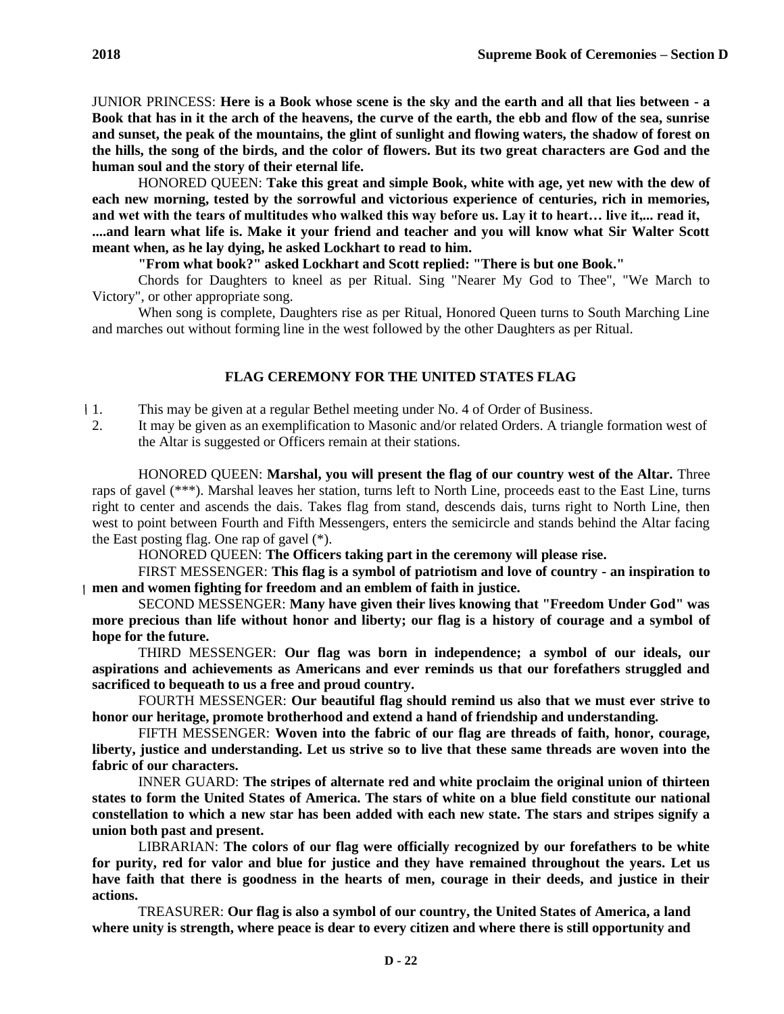JUNIOR PRINCESS: **Here is a Book whose scene is the sky and the earth and all that lies between - a Book that has in it the arch of the heavens, the curve of the earth, the ebb and flow of the sea, sunrise and sunset, the peak of the mountains, the glint of sunlight and flowing waters, the shadow of forest on the hills, the song of the birds, and the color of flowers. But its two great characters are God and the human soul and the story of their eternal life.**

HONORED QUEEN: **Take this great and simple Book, white with age, yet new with the dew of each new morning, tested by the sorrowful and victorious experience of centuries, rich in memories, and wet with the tears of multitudes who walked this way before us. Lay it to heart… live it,... read it, ....and learn what life is. Make it your friend and teacher and you will know what Sir Walter Scott meant when, as he lay dying, he asked Lockhart to read to him.**

**"From what book?" asked Lockhart and Scott replied: "There is but one Book."**

Chords for Daughters to kneel as per Ritual. Sing "Nearer My God to Thee", "We March to Victory", or other appropriate song.

When song is complete, Daughters rise as per Ritual, Honored Queen turns to South Marching Line and marches out without forming line in the west followed by the other Daughters as per Ritual.

## **FLAG CEREMONY FOR THE UNITED STATES FLAG**

1. This may be given at a regular Bethel meeting under No. 4 of Order of Business.

2. It may be given as an exemplification to Masonic and/or related Orders. A triangle formation west of the Altar is suggested or Officers remain at their stations.

HONORED QUEEN: **Marshal, you will present the flag of our country west of the Altar.** Three raps of gavel (\*\*\*). Marshal leaves her station, turns left to North Line, proceeds east to the East Line, turns right to center and ascends the dais. Takes flag from stand, descends dais, turns right to North Line, then west to point between Fourth and Fifth Messengers, enters the semicircle and stands behind the Altar facing the East posting flag. One rap of gavel (\*).

HONORED QUEEN: **The Officers taking part in the ceremony will please rise.**

FIRST MESSENGER: **This flag is a symbol of patriotism and love of country - an inspiration to men and women fighting for freedom and an emblem of faith in justice.**

SECOND MESSENGER: **Many have given their lives knowing that "Freedom Under God" was more precious than life without honor and liberty; our flag is a history of courage and a symbol of hope for the future.**

THIRD MESSENGER: **Our flag was born in independence; a symbol of our ideals, our aspirations and achievements as Americans and ever reminds us that our forefathers struggled and sacrificed to bequeath to us a free and proud country.**

FOURTH MESSENGER: **Our beautiful flag should remind us also that we must ever strive to honor our heritage, promote brotherhood and extend a hand of friendship and understanding.**

FIFTH MESSENGER: **Woven into the fabric of our flag are threads of faith, honor, courage, liberty, justice and understanding. Let us strive so to live that these same threads are woven into the fabric of our characters.**

INNER GUARD: **The stripes of alternate red and white proclaim the original union of thirteen states to form the United States of America. The stars of white on a blue field constitute our national constellation to which a new star has been added with each new state. The stars and stripes signify a union both past and present.**

LIBRARIAN: **The colors of our flag were officially recognized by our forefathers to be white for purity, red for valor and blue for justice and they have remained throughout the years. Let us have faith that there is goodness in the hearts of men, courage in their deeds, and justice in their actions.**

TREASURER: **Our flag is also a symbol of our country, the United States of America, a land where unity is strength, where peace is dear to every citizen and where there is still opportunity and**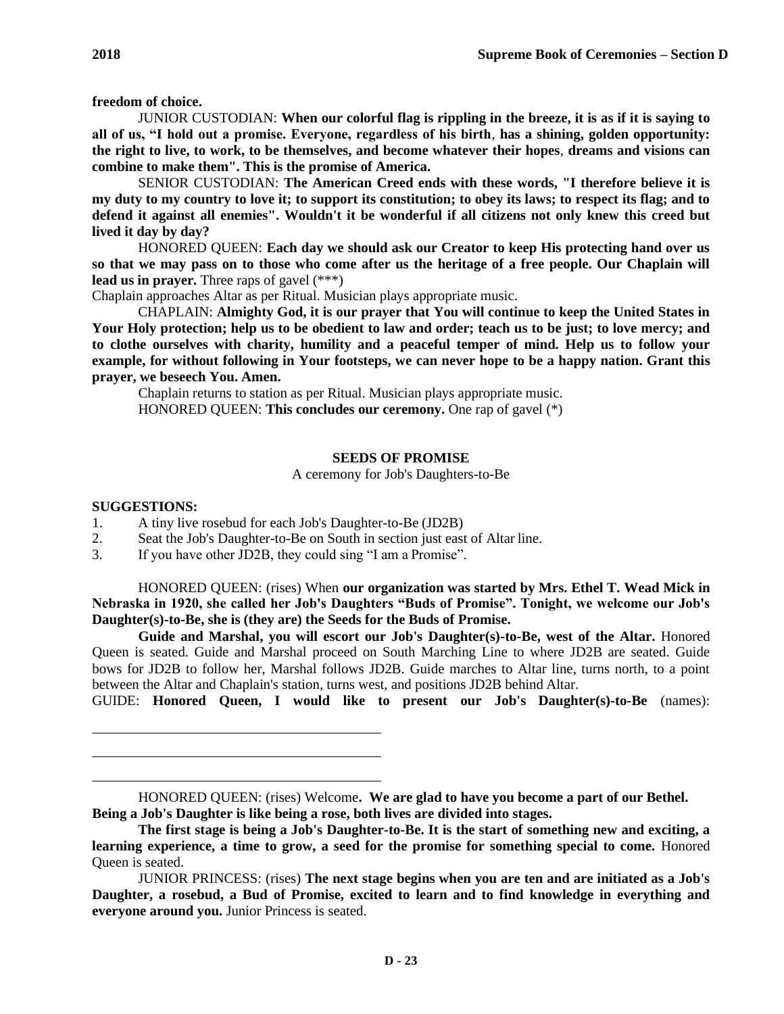**freedom of choice.**

JUNIOR CUSTODIAN: **When our colorful flag is rippling in the breeze, it is as if it is saying to all of us, "I hold out a promise. Everyone, regardless of his birth**, **has a shining, golden opportunity: the right to live, to work, to be themselves, and become whatever their hopes**, **dreams and visions can combine to make them". This is the promise of America.**

SENIOR CUSTODIAN: **The American Creed ends with these words, "I therefore believe it is my duty to my country to love it; to support its constitution; to obey its laws; to respect its flag; and to defend it against all enemies". Wouldn't it be wonderful if all citizens not only knew this creed but lived it day by day?**

HONORED QUEEN: **Each day we should ask our Creator to keep His protecting hand over us so that we may pass on to those who come after us the heritage of a free people. Our Chaplain will lead us in prayer.** Three raps of gavel (\*\*\*)

Chaplain approaches Altar as per Ritual. Musician plays appropriate music.

CHAPLAIN: **Almighty God, it is our prayer that You will continue to keep the United States in Your Holy protection; help us to be obedient to law and order; teach us to be just; to love mercy; and to clothe ourselves with charity, humility and a peaceful temper of mind. Help us to follow your example, for without following in Your footsteps, we can never hope to be a happy nation. Grant this prayer, we beseech You. Amen.**

Chaplain returns to station as per Ritual. Musician plays appropriate music. HONORED QUEEN: **This concludes our ceremony.** One rap of gavel (\*)

## **SEEDS OF PROMISE**

A ceremony for Job's Daughters-to-Be

#### **SUGGESTIONS:**

- 1. A tiny live rosebud for each Job's Daughter-to-Be (JD2B)
- 2. Seat the Job's Daughter-to-Be on South in section just east of Altar line.
- 3. If you have other JD2B, they could sing "I am a Promise".

HONORED QUEEN: (rises) When **our organization was started by Mrs. Ethel T. Wead Mick in Nebraska in 1920, she called her Job's Daughters "Buds of Promise". Tonight, we welcome our Job's Daughter(s)-to-Be, she is (they are) the Seeds for the Buds of Promise.**

**Guide and Marshal, you will escort our Job's Daughter(s)-to-Be, west of the Altar.** Honored Queen is seated. Guide and Marshal proceed on South Marching Line to where JD2B are seated. Guide bows for JD2B to follow her, Marshal follows JD2B. Guide marches to Altar line, turns north, to a point between the Altar and Chaplain's station, turns west, and positions JD2B behind Altar.

GUIDE: **Honored Queen, I would like to present our Job's Daughter(s)-to-Be** (names):

HONORED QUEEN: (rises) Welcome**. We are glad to have you become a part of our Bethel. Being a Job's Daughter is like being a rose, both lives are divided into stages.**

**The first stage is being a Job's Daughter-to-Be. It is the start of something new and exciting, a learning experience, a time to grow, a seed for the promise for something special to come.** Honored Queen is seated.

JUNIOR PRINCESS: (rises) **The next stage begins when you are ten and are initiated as a Job's Daughter, a rosebud, a Bud of Promise, excited to learn and to find knowledge in everything and everyone around you.** Junior Princess is seated.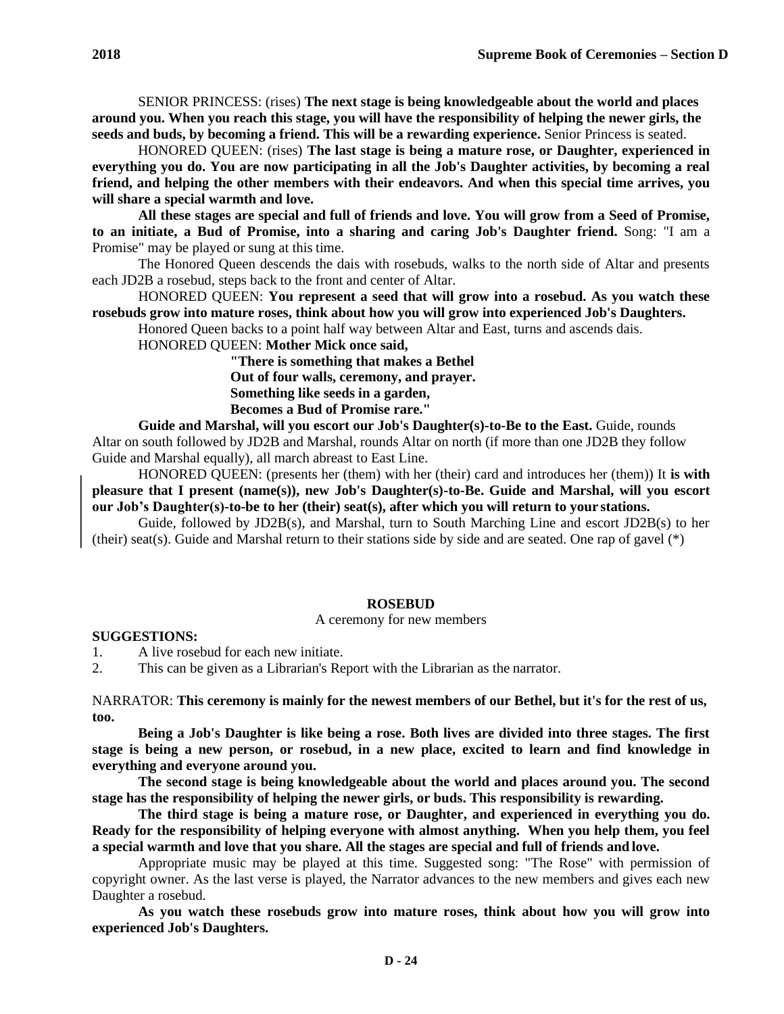SENIOR PRINCESS: (rises) **The next stage is being knowledgeable about the world and places around you. When you reach this stage, you will have the responsibility of helping the newer girls, the seeds and buds, by becoming a friend. This will be a rewarding experience.** Senior Princess is seated.

HONORED QUEEN: (rises) **The last stage is being a mature rose, or Daughter, experienced in everything you do. You are now participating in all the Job's Daughter activities, by becoming a real friend, and helping the other members with their endeavors. And when this special time arrives, you will share a special warmth and love.**

**All these stages are special and full of friends and love. You will grow from a Seed of Promise, to an initiate, a Bud of Promise, into a sharing and caring Job's Daughter friend.** Song: "I am a Promise" may be played or sung at this time.

The Honored Queen descends the dais with rosebuds, walks to the north side of Altar and presents each JD2B a rosebud, steps back to the front and center of Altar.

HONORED QUEEN: **You represent a seed that will grow into a rosebud. As you watch these rosebuds grow into mature roses, think about how you will grow into experienced Job's Daughters.**

Honored Queen backs to a point half way between Altar and East, turns and ascends dais.

HONORED QUEEN: **Mother Mick once said,**

**"There is something that makes a Bethel Out of four walls, ceremony, and prayer. Something like seeds in a garden, Becomes a Bud of Promise rare."**

**Guide and Marshal, will you escort our Job's Daughter(s)-to-Be to the East.** Guide, rounds Altar on south followed by JD2B and Marshal, rounds Altar on north (if more than one JD2B they follow Guide and Marshal equally), all march abreast to East Line.

HONORED QUEEN: (presents her (them) with her (their) card and introduces her (them)) It **is with pleasure that I present (name(s)), new Job's Daughter(s)-to-Be. Guide and Marshal, will you escort our Job's Daughter(s)-to-be to her (their) seat(s), after which you will return to your stations.**

Guide, followed by JD2B(s), and Marshal, turn to South Marching Line and escort JD2B(s) to her (their) seat(s). Guide and Marshal return to their stations side by side and are seated. One rap of gavel (\*)

#### **ROSEBUD**

#### A ceremony for new members

#### **SUGGESTIONS:**

1. A live rosebud for each new initiate.

2. This can be given as a Librarian's Report with the Librarian as the narrator.

NARRATOR: **This ceremony is mainly for the newest members of our Bethel, but it's for the rest of us, too.**

**Being a Job's Daughter is like being a rose. Both lives are divided into three stages. The first stage is being a new person, or rosebud, in a new place, excited to learn and find knowledge in everything and everyone around you.**

**The second stage is being knowledgeable about the world and places around you. The second stage has the responsibility of helping the newer girls, or buds. This responsibility is rewarding.**

**The third stage is being a mature rose, or Daughter, and experienced in everything you do. Ready for the responsibility of helping everyone with almost anything. When you help them, you feel a special warmth and love that you share. All the stages are special and full of friends and love.**

Appropriate music may be played at this time. Suggested song: "The Rose" with permission of copyright owner. As the last verse is played, the Narrator advances to the new members and gives each new Daughter a rosebud.

**As you watch these rosebuds grow into mature roses, think about how you will grow into experienced Job's Daughters.**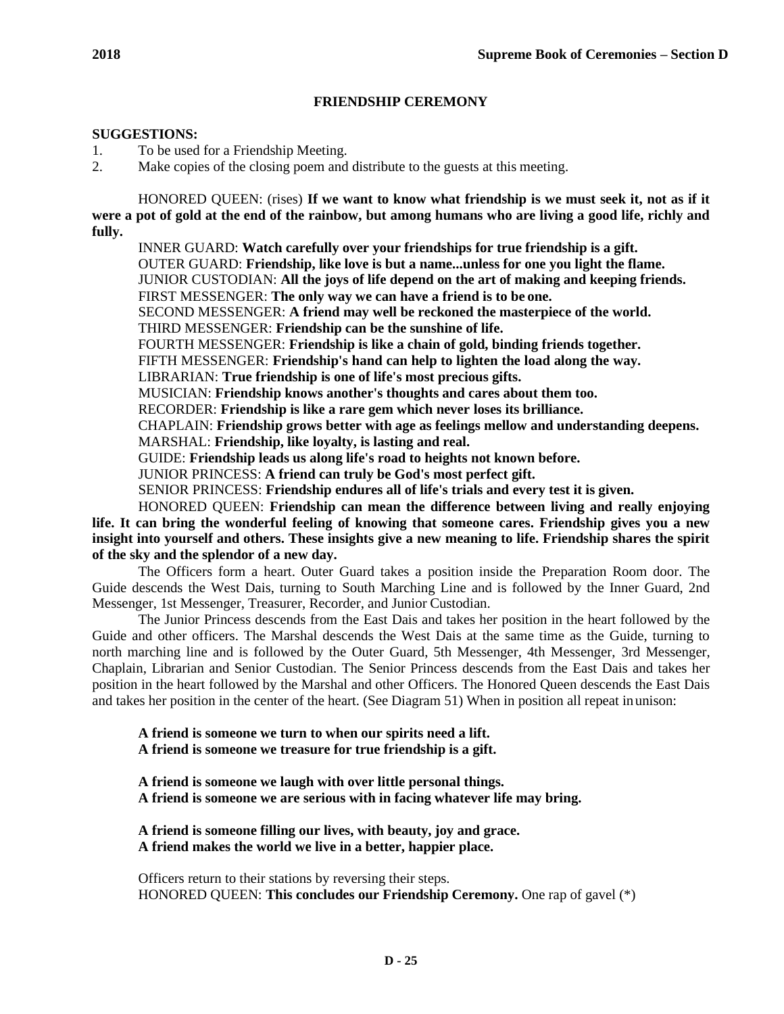# **FRIENDSHIP CEREMONY**

# **SUGGESTIONS:**

1. To be used for a Friendship Meeting.

2. Make copies of the closing poem and distribute to the guests at this meeting.

HONORED QUEEN: (rises) **If we want to know what friendship is we must seek it, not as if it were a pot of gold at the end of the rainbow, but among humans who are living a good life, richly and fully.**

INNER GUARD: **Watch carefully over your friendships for true friendship is a gift.**  OUTER GUARD: **Friendship, like love is but a name...unless for one you light the flame.**  JUNIOR CUSTODIAN: **All the joys of life depend on the art of making and keeping friends.**  FIRST MESSENGER: **The only way we can have a friend is to be one.** SECOND MESSENGER: **A friend may well be reckoned the masterpiece of the world.** THIRD MESSENGER: **Friendship can be the sunshine of life.**

FOURTH MESSENGER: **Friendship is like a chain of gold, binding friends together.** 

FIFTH MESSENGER: **Friendship's hand can help to lighten the load along the way.** 

LIBRARIAN: **True friendship is one of life's most precious gifts.**

MUSICIAN: **Friendship knows another's thoughts and cares about them too.**

RECORDER: **Friendship is like a rare gem which never loses its brilliance.**

CHAPLAIN: **Friendship grows better with age as feelings mellow and understanding deepens.**

MARSHAL: **Friendship, like loyalty, is lasting and real.**

GUIDE: **Friendship leads us along life's road to heights not known before.**

JUNIOR PRINCESS: **A friend can truly be God's most perfect gift.**

SENIOR PRINCESS: **Friendship endures all of life's trials and every test it is given.**

HONORED QUEEN: **Friendship can mean the difference between living and really enjoying life. It can bring the wonderful feeling of knowing that someone cares. Friendship gives you a new insight into yourself and others. These insights give a new meaning to life. Friendship shares the spirit of the sky and the splendor of a new day.**

The Officers form a heart. Outer Guard takes a position inside the Preparation Room door. The Guide descends the West Dais, turning to South Marching Line and is followed by the Inner Guard, 2nd Messenger, 1st Messenger, Treasurer, Recorder, and Junior Custodian.

The Junior Princess descends from the East Dais and takes her position in the heart followed by the Guide and other officers. The Marshal descends the West Dais at the same time as the Guide, turning to north marching line and is followed by the Outer Guard, 5th Messenger, 4th Messenger, 3rd Messenger, Chaplain, Librarian and Senior Custodian. The Senior Princess descends from the East Dais and takes her position in the heart followed by the Marshal and other Officers. The Honored Queen descends the East Dais and takes her position in the center of the heart. (See Diagram 51) When in position all repeat inunison:

**A friend is someone we turn to when our spirits need a lift. A friend is someone we treasure for true friendship is a gift.**

**A friend is someone we laugh with over little personal things.**

**A friend is someone we are serious with in facing whatever life may bring.**

**A friend is someone filling our lives, with beauty, joy and grace. A friend makes the world we live in a better, happier place.**

Officers return to their stations by reversing their steps. HONORED QUEEN: **This concludes our Friendship Ceremony.** One rap of gavel (\*)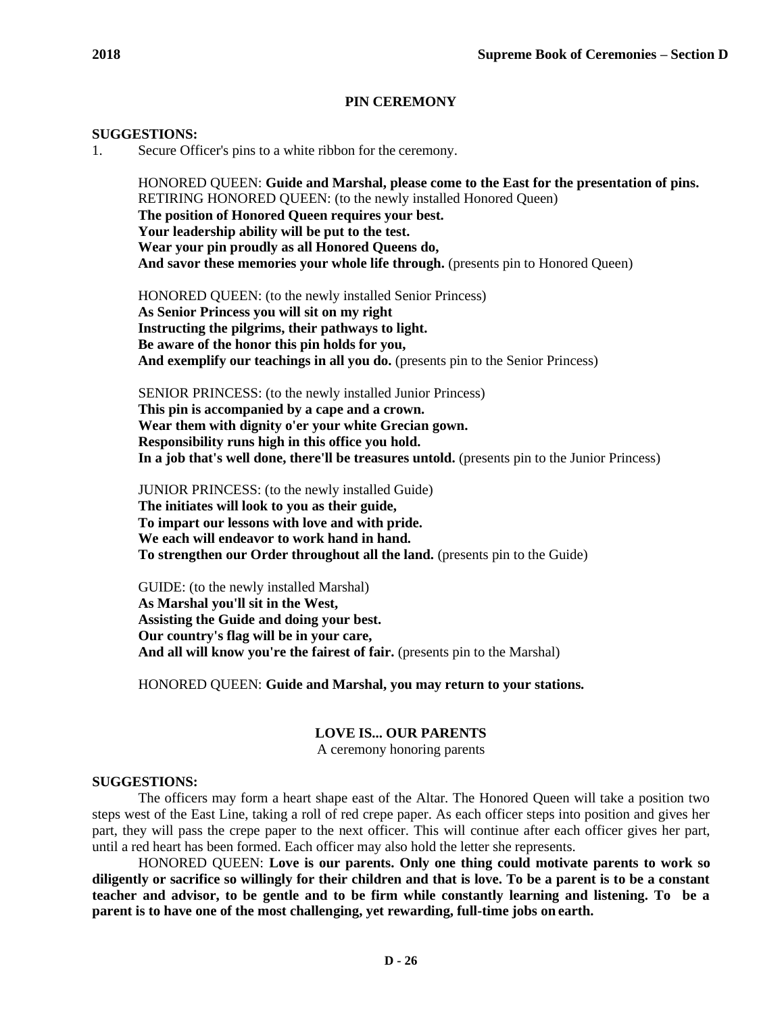# **PIN CEREMONY**

## **SUGGESTIONS:**

1. Secure Officer's pins to a white ribbon for the ceremony.

HONORED QUEEN: **Guide and Marshal, please come to the East for the presentation of pins.** RETIRING HONORED QUEEN: (to the newly installed Honored Queen) **The position of Honored Queen requires your best. Your leadership ability will be put to the test. Wear your pin proudly as all Honored Queens do, And savor these memories your whole life through.** (presents pin to Honored Queen)

HONORED QUEEN: (to the newly installed Senior Princess) **As Senior Princess you will sit on my right Instructing the pilgrims, their pathways to light. Be aware of the honor this pin holds for you, And exemplify our teachings in all you do.** (presents pin to the Senior Princess)

SENIOR PRINCESS: (to the newly installed Junior Princess) **This pin is accompanied by a cape and a crown. Wear them with dignity o'er your white Grecian gown. Responsibility runs high in this office you hold. In a job that's well done, there'll be treasures untold.** (presents pin to the Junior Princess)

JUNIOR PRINCESS: (to the newly installed Guide) **The initiates will look to you as their guide, To impart our lessons with love and with pride. We each will endeavor to work hand in hand. To strengthen our Order throughout all the land.** (presents pin to the Guide)

GUIDE: (to the newly installed Marshal) **As Marshal you'll sit in the West, Assisting the Guide and doing your best. Our country's flag will be in your care,** And all will know you're the fairest of fair. (presents pin to the Marshal)

HONORED QUEEN: **Guide and Marshal, you may return to your stations.**

# **LOVE IS... OUR PARENTS**

A ceremony honoring parents

# **SUGGESTIONS:**

The officers may form a heart shape east of the Altar. The Honored Queen will take a position two steps west of the East Line, taking a roll of red crepe paper. As each officer steps into position and gives her part, they will pass the crepe paper to the next officer. This will continue after each officer gives her part, until a red heart has been formed. Each officer may also hold the letter she represents.

HONORED QUEEN: **Love is our parents. Only one thing could motivate parents to work so diligently or sacrifice so willingly for their children and that is love. To be a parent is to be a constant teacher and advisor, to be gentle and to be firm while constantly learning and listening. To be a parent is to have one of the most challenging, yet rewarding, full-time jobs on earth.**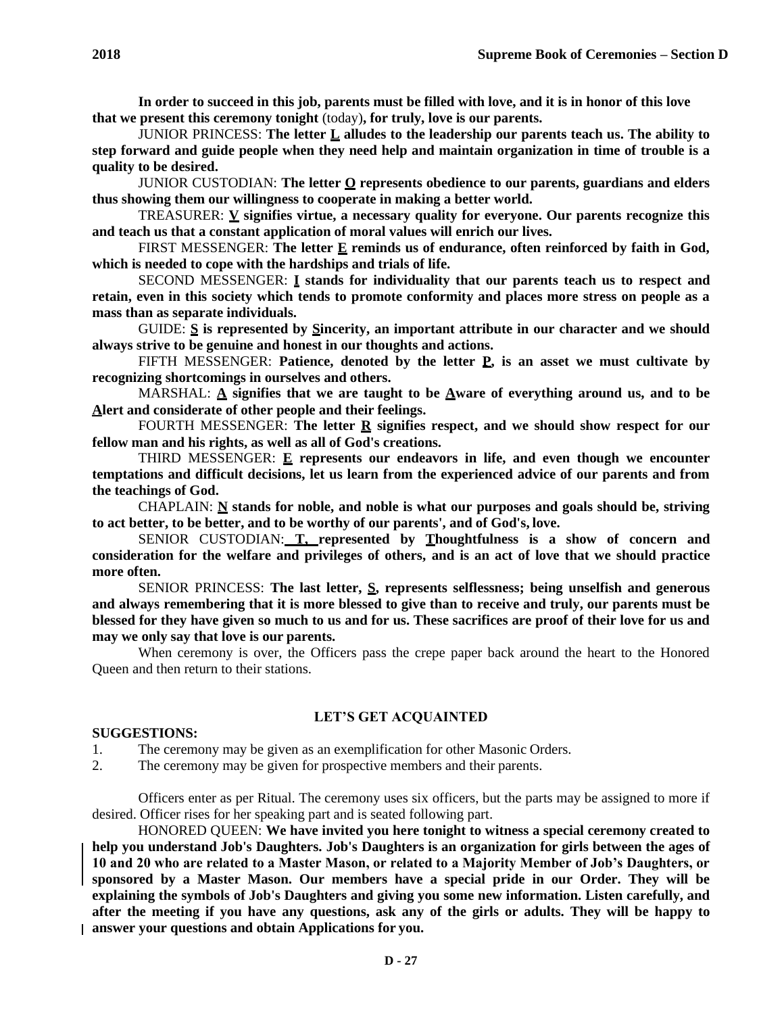**In order to succeed in this job, parents must be filled with love, and it is in honor of this love that we present this ceremony tonight** (today)**, for truly, love is our parents.**

JUNIOR PRINCESS: **The letter L alludes to the leadership our parents teach us. The ability to step forward and guide people when they need help and maintain organization in time of trouble is a quality to be desired.**

JUNIOR CUSTODIAN: **The letter O represents obedience to our parents, guardians and elders thus showing them our willingness to cooperate in making a better world.**

TREASURER: **V signifies virtue, a necessary quality for everyone. Our parents recognize this and teach us that a constant application of moral values will enrich our lives.**

FIRST MESSENGER: **The letter E reminds us of endurance, often reinforced by faith in God, which is needed to cope with the hardships and trials of life.**

SECOND MESSENGER: **I stands for individuality that our parents teach us to respect and retain, even in this society which tends to promote conformity and places more stress on people as a mass than as separate individuals.**

GUIDE: **S is represented by Sincerity, an important attribute in our character and we should always strive to be genuine and honest in our thoughts and actions.**

FIFTH MESSENGER: **Patience, denoted by the letter P, is an asset we must cultivate by recognizing shortcomings in ourselves and others.**

MARSHAL: **A signifies that we are taught to be Aware of everything around us, and to be Alert and considerate of other people and their feelings.**

FOURTH MESSENGER: **The letter R signifies respect, and we should show respect for our fellow man and his rights, as well as all of God's creations.**

THIRD MESSENGER: **E represents our endeavors in life, and even though we encounter temptations and difficult decisions, let us learn from the experienced advice of our parents and from the teachings of God.**

CHAPLAIN: **N stands for noble, and noble is what our purposes and goals should be, striving to act better, to be better, and to be worthy of our parents', and of God's, love.**

SENIOR CUSTODIAN: **T, represented by Thoughtfulness is a show of concern and consideration for the welfare and privileges of others, and is an act of love that we should practice more often.**

SENIOR PRINCESS: **The last letter, S, represents selflessness; being unselfish and generous and always remembering that it is more blessed to give than to receive and truly, our parents must be blessed for they have given so much to us and for us. These sacrifices are proof of their love for us and may we only say that love is our parents.**

When ceremony is over, the Officers pass the crepe paper back around the heart to the Honored Queen and then return to their stations.

## **LET'S GET ACQUAINTED**

## **SUGGESTIONS:**

1. The ceremony may be given as an exemplification for other Masonic Orders.

2. The ceremony may be given for prospective members and their parents.

Officers enter as per Ritual. The ceremony uses six officers, but the parts may be assigned to more if desired. Officer rises for her speaking part and is seated following part.

HONORED QUEEN: **We have invited you here tonight to witness a special ceremony created to help you understand Job's Daughters. Job's Daughters is an organization for girls between the ages of 10 and 20 who are related to a Master Mason, or related to a Majority Member of Job's Daughters, or sponsored by a Master Mason. Our members have a special pride in our Order. They will be explaining the symbols of Job's Daughters and giving you some new information. Listen carefully, and after the meeting if you have any questions, ask any of the girls or adults. They will be happy to answer your questions and obtain Applications for you.**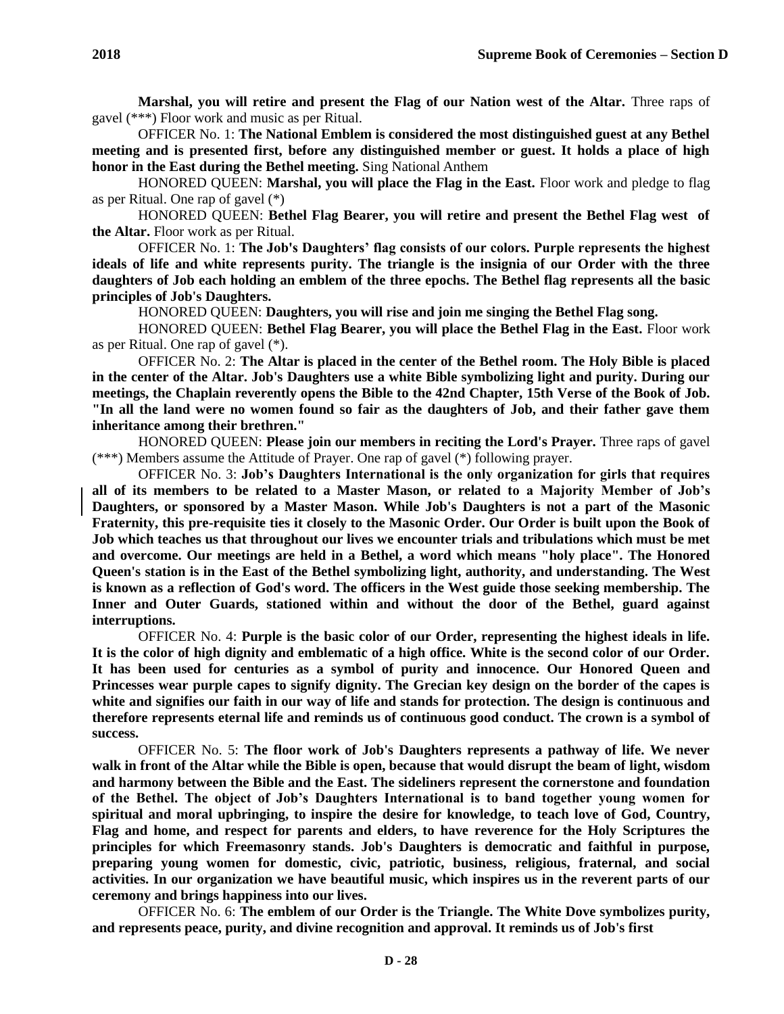**Marshal, you will retire and present the Flag of our Nation west of the Altar.** Three raps of gavel (\*\*\*) Floor work and music as per Ritual.

OFFICER No. 1: **The National Emblem is considered the most distinguished guest at any Bethel meeting and is presented first, before any distinguished member or guest. It holds a place of high honor in the East during the Bethel meeting.** Sing National Anthem

HONORED QUEEN: **Marshal, you will place the Flag in the East.** Floor work and pledge to flag as per Ritual. One rap of gavel (\*)

HONORED QUEEN: **Bethel Flag Bearer, you will retire and present the Bethel Flag west of the Altar.** Floor work as per Ritual.

OFFICER No. 1: **The Job's Daughters' flag consists of our colors. Purple represents the highest ideals of life and white represents purity. The triangle is the insignia of our Order with the three daughters of Job each holding an emblem of the three epochs. The Bethel flag represents all the basic principles of Job's Daughters.**

HONORED QUEEN: **Daughters, you will rise and join me singing the Bethel Flag song.**

HONORED QUEEN: **Bethel Flag Bearer, you will place the Bethel Flag in the East.** Floor work as per Ritual. One rap of gavel (\*).

OFFICER No. 2: **The Altar is placed in the center of the Bethel room. The Holy Bible is placed in the center of the Altar. Job's Daughters use a white Bible symbolizing light and purity. During our meetings, the Chaplain reverently opens the Bible to the 42nd Chapter, 15th Verse of the Book of Job. "In all the land were no women found so fair as the daughters of Job, and their father gave them inheritance among their brethren."**

HONORED QUEEN: **Please join our members in reciting the Lord's Prayer.** Three raps of gavel (\*\*\*) Members assume the Attitude of Prayer. One rap of gavel (\*) following prayer.

OFFICER No. 3: **Job's Daughters International is the only organization for girls that requires all of its members to be related to a Master Mason, or related to a Majority Member of Job's Daughters, or sponsored by a Master Mason. While Job's Daughters is not a part of the Masonic Fraternity, this pre-requisite ties it closely to the Masonic Order. Our Order is built upon the Book of Job which teaches us that throughout our lives we encounter trials and tribulations which must be met and overcome. Our meetings are held in a Bethel, a word which means "holy place". The Honored Queen's station is in the East of the Bethel symbolizing light, authority, and understanding. The West is known as a reflection of God's word. The officers in the West guide those seeking membership. The Inner and Outer Guards, stationed within and without the door of the Bethel, guard against interruptions.**

OFFICER No. 4: **Purple is the basic color of our Order, representing the highest ideals in life. It is the color of high dignity and emblematic of a high office. White is the second color of our Order. It has been used for centuries as a symbol of purity and innocence. Our Honored Queen and Princesses wear purple capes to signify dignity. The Grecian key design on the border of the capes is white and signifies our faith in our way of life and stands for protection. The design is continuous and therefore represents eternal life and reminds us of continuous good conduct. The crown is a symbol of success.**

OFFICER No. 5: **The floor work of Job's Daughters represents a pathway of life. We never walk in front of the Altar while the Bible is open, because that would disrupt the beam of light, wisdom and harmony between the Bible and the East. The sideliners represent the cornerstone and foundation of the Bethel. The object of Job's Daughters International is to band together young women for spiritual and moral upbringing, to inspire the desire for knowledge, to teach love of God, Country, Flag and home, and respect for parents and elders, to have reverence for the Holy Scriptures the principles for which Freemasonry stands. Job's Daughters is democratic and faithful in purpose, preparing young women for domestic, civic, patriotic, business, religious, fraternal, and social activities. In our organization we have beautiful music, which inspires us in the reverent parts of our ceremony and brings happiness into our lives.**

OFFICER No. 6: **The emblem of our Order is the Triangle. The White Dove symbolizes purity, and represents peace, purity, and divine recognition and approval. It reminds us of Job's first**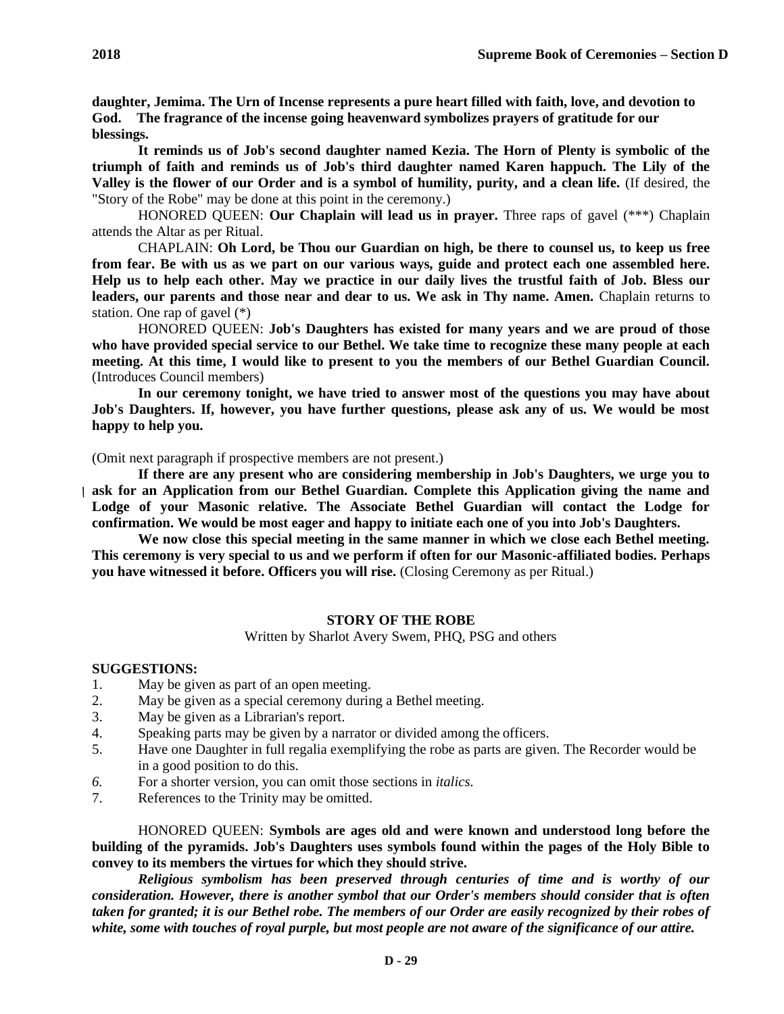**daughter, Jemima. The Urn of Incense represents a pure heart filled with faith, love, and devotion to God. The fragrance of the incense going heavenward symbolizes prayers of gratitude for our blessings.**

**It reminds us of Job's second daughter named Kezia. The Horn of Plenty is symbolic of the triumph of faith and reminds us of Job's third daughter named Karen happuch. The Lily of the Valley is the flower of our Order and is a symbol of humility, purity, and a clean life.** (If desired, the "Story of the Robe" may be done at this point in the ceremony.)

HONORED QUEEN: **Our Chaplain will lead us in prayer.** Three raps of gavel (\*\*\*) Chaplain attends the Altar as per Ritual.

CHAPLAIN: **Oh Lord, be Thou our Guardian on high, be there to counsel us, to keep us free from fear. Be with us as we part on our various ways, guide and protect each one assembled here. Help us to help each other. May we practice in our daily lives the trustful faith of Job. Bless our**  leaders, our parents and those near and dear to us. We ask in Thy name. Amen. Chaplain returns to station. One rap of gavel (\*)

HONORED QUEEN: **Job's Daughters has existed for many years and we are proud of those who have provided special service to our Bethel. We take time to recognize these many people at each meeting. At this time, I would like to present to you the members of our Bethel Guardian Council.**  (Introduces Council members)

**In our ceremony tonight, we have tried to answer most of the questions you may have about Job's Daughters. If, however, you have further questions, please ask any of us. We would be most happy to help you.**

(Omit next paragraph if prospective members are not present.)

**If there are any present who are considering membership in Job's Daughters, we urge you to ask for an Application from our Bethel Guardian. Complete this Application giving the name and Lodge of your Masonic relative. The Associate Bethel Guardian will contact the Lodge for confirmation. We would be most eager and happy to initiate each one of you into Job's Daughters.**

**We now close this special meeting in the same manner in which we close each Bethel meeting. This ceremony is very special to us and we perform if often for our Masonic-affiliated bodies. Perhaps you have witnessed it before. Officers you will rise.** (Closing Ceremony as per Ritual.)

### **STORY OF THE ROBE**

Written by Sharlot Avery Swem, PHQ, PSG and others

#### **SUGGESTIONS:**

- 1. May be given as part of an open meeting.
- 2. May be given as a special ceremony during a Bethel meeting.
- 3. May be given as a Librarian's report.
- 4. Speaking parts may be given by a narrator or divided among the officers.
- 5. Have one Daughter in full regalia exemplifying the robe as parts are given. The Recorder would be in a good position to do this.
- *6.* For a shorter version, you can omit those sections in *italics.*
- 7. References to the Trinity may be omitted.

HONORED QUEEN: **Symbols are ages old and were known and understood long before the building of the pyramids. Job's Daughters uses symbols found within the pages of the Holy Bible to convey to its members the virtues for which they should strive.**

*Religious symbolism has been preserved through centuries of time and is worthy of our consideration. However, there is another symbol that our Order's members should consider that is often taken for granted; it is our Bethel robe. The members of our Order are easily recognized by their robes of white, some with touches of royal purple, but most people are not aware of the significance of our attire.*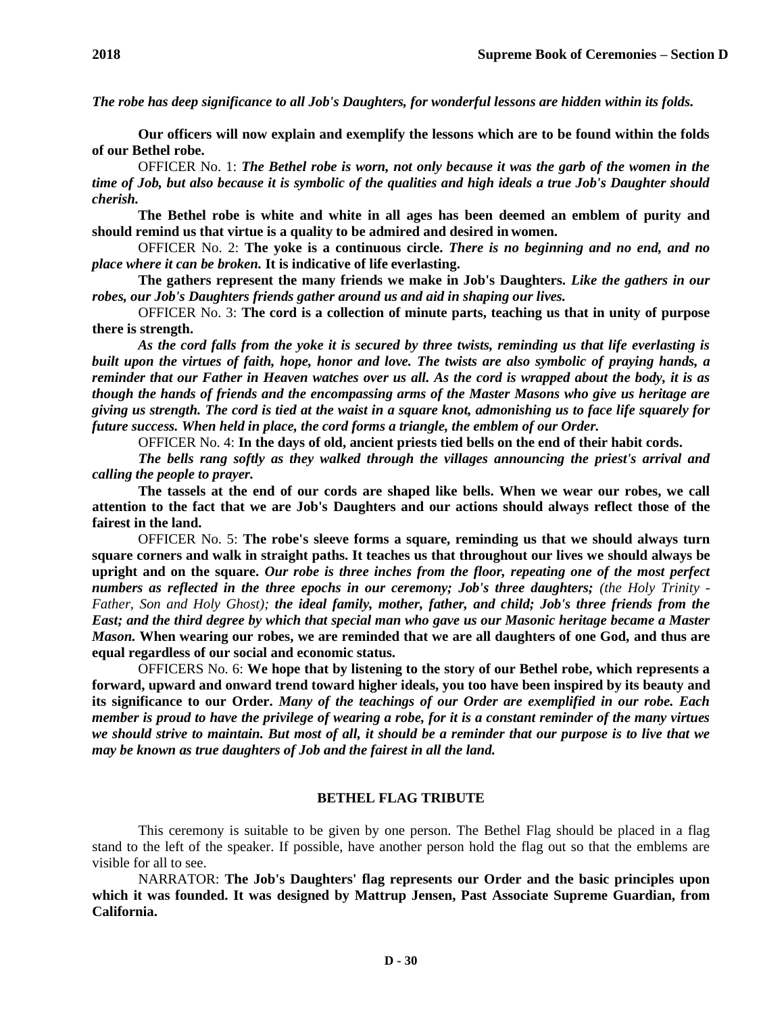*The robe has deep significance to all Job's Daughters, for wonderful lessons are hidden within its folds.*

**Our officers will now explain and exemplify the lessons which are to be found within the folds of our Bethel robe.**

OFFICER No. 1: *The Bethel robe is worn, not only because it was the garb of the women in the time of Job, but also because it is symbolic of the qualities and high ideals a true Job's Daughter should cherish.*

**The Bethel robe is white and white in all ages has been deemed an emblem of purity and should remind us that virtue is a quality to be admired and desired in women.**

OFFICER No. 2: **The yoke is a continuous circle.** *There is no beginning and no end, and no place where it can be broken.* **It is indicative of life everlasting.**

**The gathers represent the many friends we make in Job's Daughters.** *Like the gathers in our robes, our Job's Daughters friends gather around us and aid in shaping our lives.*

OFFICER No. 3: **The cord is a collection of minute parts, teaching us that in unity of purpose there is strength.**

*As the cord falls from the yoke it is secured by three twists, reminding us that life everlasting is built upon the virtues of faith, hope, honor and love. The twists are also symbolic of praying hands, a reminder that our Father in Heaven watches over us all. As the cord is wrapped about the body, it is as though the hands of friends and the encompassing arms of the Master Masons who give us heritage are giving us strength. The cord is tied at the waist in a square knot, admonishing us to face life squarely for future success. When held in place, the cord forms a triangle, the emblem of our Order.*

OFFICER No. 4: **In the days of old, ancient priests tied bells on the end of their habit cords.**

*The bells rang softly as they walked through the villages announcing the priest's arrival and calling the people to prayer.*

**The tassels at the end of our cords are shaped like bells. When we wear our robes, we call attention to the fact that we are Job's Daughters and our actions should always reflect those of the fairest in the land.**

OFFICER No. 5: **The robe's sleeve forms a square, reminding us that we should always turn square corners and walk in straight paths. It teaches us that throughout our lives we should always be upright and on the square.** *Our robe is three inches from the floor, repeating one of the most perfect numbers as reflected in the three epochs in our ceremony; Job's three daughters; (the Holy Trinity - Father, Son and Holy Ghost); the ideal family, mother, father, and child; Job's three friends from the East; and the third degree by which that special man who gave us our Masonic heritage became a Master Mason.* **When wearing our robes, we are reminded that we are all daughters of one God, and thus are equal regardless of our social and economic status.**

OFFICERS No. 6: **We hope that by listening to the story of our Bethel robe, which represents a forward, upward and onward trend toward higher ideals, you too have been inspired by its beauty and its significance to our Order.** *Many of the teachings of our Order are exemplified in our robe. Each member is proud to have the privilege of wearing a robe, for it is a constant reminder of the many virtues we should strive to maintain. But most of all, it should be a reminder that our purpose is to live that we may be known as true daughters of Job and the fairest in all the land.*

#### **BETHEL FLAG TRIBUTE**

This ceremony is suitable to be given by one person. The Bethel Flag should be placed in a flag stand to the left of the speaker. If possible, have another person hold the flag out so that the emblems are visible for all to see.

NARRATOR: **The Job's Daughters' flag represents our Order and the basic principles upon which it was founded. It was designed by Mattrup Jensen, Past Associate Supreme Guardian, from California.**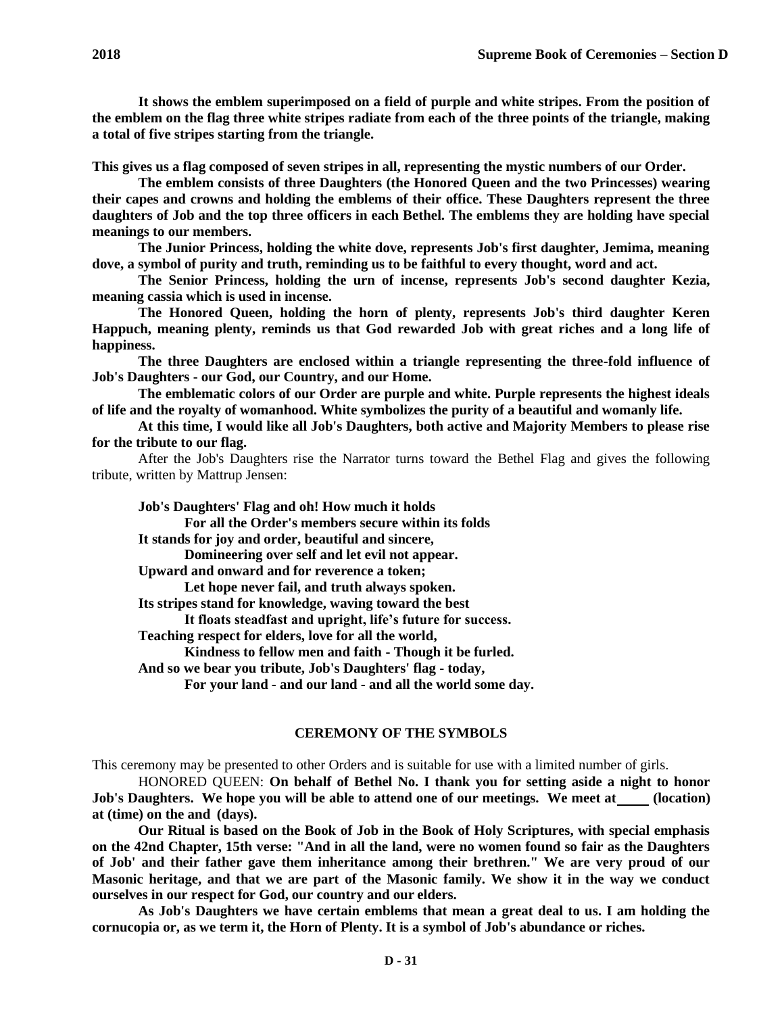**It shows the emblem superimposed on a field of purple and white stripes. From the position of the emblem on the flag three white stripes radiate from each of the three points of the triangle, making a total of five stripes starting from the triangle.**

**This gives us a flag composed of seven stripes in all, representing the mystic numbers of our Order.**

**The emblem consists of three Daughters (the Honored Queen and the two Princesses) wearing their capes and crowns and holding the emblems of their office. These Daughters represent the three daughters of Job and the top three officers in each Bethel. The emblems they are holding have special meanings to our members.**

**The Junior Princess, holding the white dove, represents Job's first daughter, Jemima, meaning dove, a symbol of purity and truth, reminding us to be faithful to every thought, word and act.**

**The Senior Princess, holding the urn of incense, represents Job's second daughter Kezia, meaning cassia which is used in incense.**

**The Honored Queen, holding the horn of plenty, represents Job's third daughter Keren Happuch, meaning plenty, reminds us that God rewarded Job with great riches and a long life of happiness.**

**The three Daughters are enclosed within a triangle representing the three-fold influence of Job's Daughters - our God, our Country, and our Home.**

**The emblematic colors of our Order are purple and white. Purple represents the highest ideals of life and the royalty of womanhood. White symbolizes the purity of a beautiful and womanly life.**

**At this time, I would like all Job's Daughters, both active and Majority Members to please rise for the tribute to our flag.**

After the Job's Daughters rise the Narrator turns toward the Bethel Flag and gives the following tribute, written by Mattrup Jensen:

**Job's Daughters' Flag and oh! How much it holds**

**For all the Order's members secure within its folds** 

**It stands for joy and order, beautiful and sincere,**

**Domineering over self and let evil not appear.**

**Upward and onward and for reverence a token;**

**Let hope never fail, and truth always spoken.**

**Its stripes stand for knowledge, waving toward the best**

**It floats steadfast and upright, life's future for success.**

**Teaching respect for elders, love for all the world,**

**Kindness to fellow men and faith - Though it be furled.**

**And so we bear you tribute, Job's Daughters' flag - today,**

**For your land - and our land - and all the world some day.**

#### **CEREMONY OF THE SYMBOLS**

This ceremony may be presented to other Orders and is suitable for use with a limited number of girls.

HONORED QUEEN: **On behalf of Bethel No. I thank you for setting aside a night to honor Job's Daughters. We hope you will be able to attend one of our meetings. We meet at (location) at (time) on the and (days).**

**Our Ritual is based on the Book of Job in the Book of Holy Scriptures, with special emphasis on the 42nd Chapter, 15th verse: "And in all the land, were no women found so fair as the Daughters of Job' and their father gave them inheritance among their brethren." We are very proud of our Masonic heritage, and that we are part of the Masonic family. We show it in the way we conduct ourselves in our respect for God, our country and our elders.**

**As Job's Daughters we have certain emblems that mean a great deal to us. I am holding the cornucopia or, as we term it, the Horn of Plenty. It is a symbol of Job's abundance or riches.**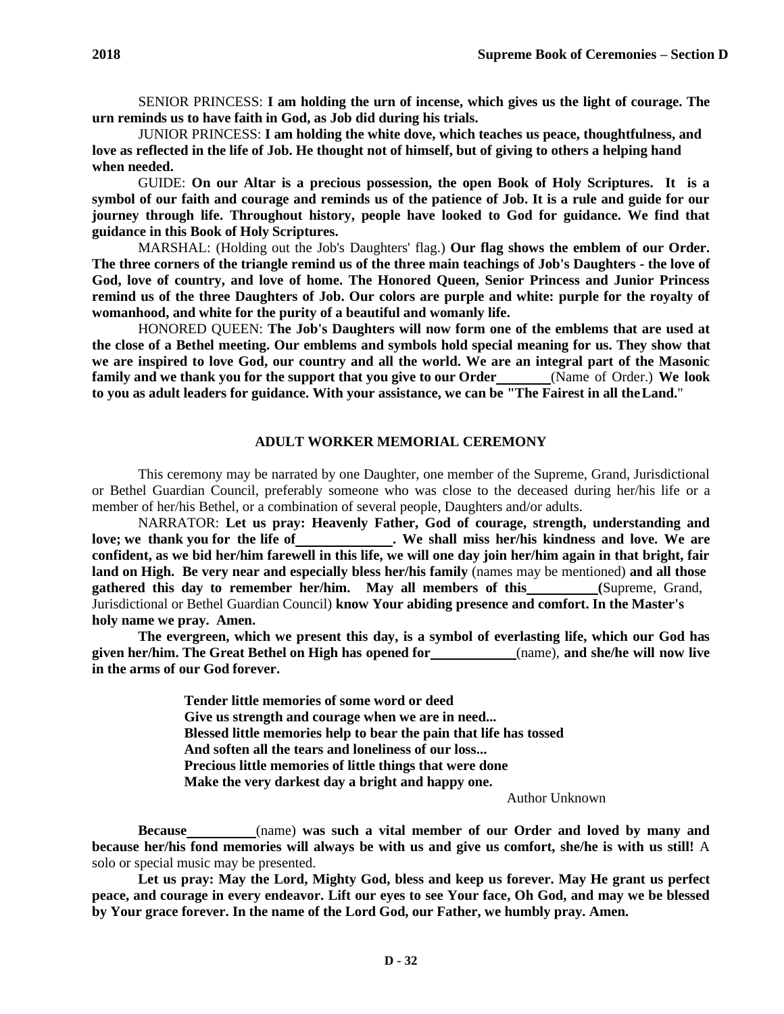JUNIOR PRINCESS: **I am holding the white dove, which teaches us peace, thoughtfulness, and love as reflected in the life of Job. He thought not of himself, but of giving to others a helping hand when needed.**

GUIDE: **On our Altar is a precious possession, the open Book of Holy Scriptures. It is a symbol of our faith and courage and reminds us of the patience of Job. It is a rule and guide for our journey through life. Throughout history, people have looked to God for guidance. We find that guidance in this Book of Holy Scriptures.**

MARSHAL: (Holding out the Job's Daughters' flag.) **Our flag shows the emblem of our Order. The three corners of the triangle remind us of the three main teachings of Job's Daughters - the love of God, love of country, and love of home. The Honored Queen, Senior Princess and Junior Princess remind us of the three Daughters of Job. Our colors are purple and white: purple for the royalty of womanhood, and white for the purity of a beautiful and womanly life.**

HONORED QUEEN: **The Job's Daughters will now form one of the emblems that are used at the close of a Bethel meeting. Our emblems and symbols hold special meaning for us. They show that we are inspired to love God, our country and all the world. We are an integral part of the Masonic family and we thank you for the support that you give to our Order** (Name of Order.) **We look to you as adult leaders for guidance. With your assistance, we can be "The Fairest in all theLand.**"

## **ADULT WORKER MEMORIAL CEREMONY**

This ceremony may be narrated by one Daughter, one member of the Supreme, Grand, Jurisdictional or Bethel Guardian Council, preferably someone who was close to the deceased during her/his life or a member of her/his Bethel, or a combination of several people, Daughters and/or adults.

NARRATOR: **Let us pray: Heavenly Father, God of courage, strength, understanding and love; we thank you for the life of . We shall miss her/his kindness and love. We are confident, as we bid her/him farewell in this life, we will one day join her/him again in that bright, fair land on High. Be very near and especially bless her/his family** (names may be mentioned) **and all those gathered this day to remember her/him. May all members of this (**Supreme, Grand, Jurisdictional or Bethel Guardian Council) **know Your abiding presence and comfort. In the Master's holy name we pray. Amen.**

**The evergreen, which we present this day, is a symbol of everlasting life, which our God has given her/him. The Great Bethel on High has opened for** (name), **and she/he will now live in the arms of our God forever.**

> **Tender little memories of some word or deed Give us strength and courage when we are in need... Blessed little memories help to bear the pain that life has tossed And soften all the tears and loneliness of our loss... Precious little memories of little things that were done Make the very darkest day a bright and happy one.**

> > Author Unknown

**Because** (name) **was such a vital member of our Order and loved by many and because her/his fond memories will always be with us and give us comfort, she/he is with us still!** A solo or special music may be presented.

**Let us pray: May the Lord, Mighty God, bless and keep us forever. May He grant us perfect peace, and courage in every endeavor. Lift our eyes to see Your face, Oh God, and may we be blessed by Your grace forever. In the name of the Lord God, our Father, we humbly pray. Amen.**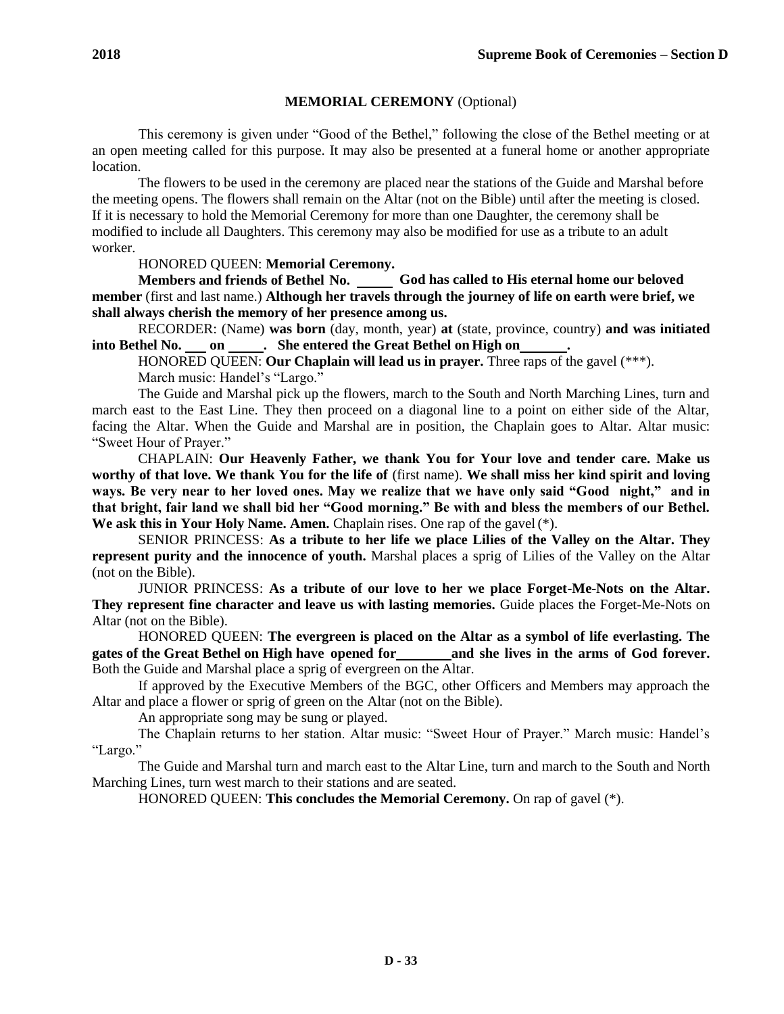### **MEMORIAL CEREMONY** (Optional)

This ceremony is given under "Good of the Bethel," following the close of the Bethel meeting or at an open meeting called for this purpose. It may also be presented at a funeral home or another appropriate location.

The flowers to be used in the ceremony are placed near the stations of the Guide and Marshal before the meeting opens. The flowers shall remain on the Altar (not on the Bible) until after the meeting is closed. If it is necessary to hold the Memorial Ceremony for more than one Daughter, the ceremony shall be modified to include all Daughters. This ceremony may also be modified for use as a tribute to an adult worker.

HONORED QUEEN: **Memorial Ceremony.** 

**Members and friends of Bethel No. God has called to His eternal home our beloved member** (first and last name.) **Although her travels through the journey of life on earth were brief, we shall always cherish the memory of her presence among us.**

RECORDER: (Name) **was born** (day, month, year) **at** (state, province, country) **and was initiated**  into Bethel No. on \_\_\_\_\_\_. She entered the Great Bethel on High on

HONORED QUEEN: **Our Chaplain will lead us in prayer.** Three raps of the gavel (\*\*\*). March music: Handel's "Largo."

The Guide and Marshal pick up the flowers, march to the South and North Marching Lines, turn and march east to the East Line. They then proceed on a diagonal line to a point on either side of the Altar, facing the Altar. When the Guide and Marshal are in position, the Chaplain goes to Altar. Altar music: "Sweet Hour of Prayer."

CHAPLAIN: **Our Heavenly Father, we thank You for Your love and tender care. Make us worthy of that love. We thank You for the life of** (first name). **We shall miss her kind spirit and loving ways. Be very near to her loved ones. May we realize that we have only said "Good night," and in that bright, fair land we shall bid her "Good morning." Be with and bless the members of our Bethel.**  We ask this in Your Holy Name. Amen. Chaplain rises. One rap of the gavel (\*).

SENIOR PRINCESS: **As a tribute to her life we place Lilies of the Valley on the Altar. They represent purity and the innocence of youth.** Marshal places a sprig of Lilies of the Valley on the Altar (not on the Bible).

JUNIOR PRINCESS: **As a tribute of our love to her we place Forget-Me-Nots on the Altar. They represent fine character and leave us with lasting memories.** Guide places the Forget-Me-Nots on Altar (not on the Bible).

HONORED QUEEN: **The evergreen is placed on the Altar as a symbol of life everlasting. The gates of the Great Bethel on High have opened for and she lives in the arms of God forever.**  Both the Guide and Marshal place a sprig of evergreen on the Altar.

If approved by the Executive Members of the BGC, other Officers and Members may approach the Altar and place a flower or sprig of green on the Altar (not on the Bible).

An appropriate song may be sung or played.

The Chaplain returns to her station. Altar music: "Sweet Hour of Prayer." March music: Handel's "Largo."

The Guide and Marshal turn and march east to the Altar Line, turn and march to the South and North Marching Lines, turn west march to their stations and are seated.

HONORED QUEEN: **This concludes the Memorial Ceremony.** On rap of gavel (\*).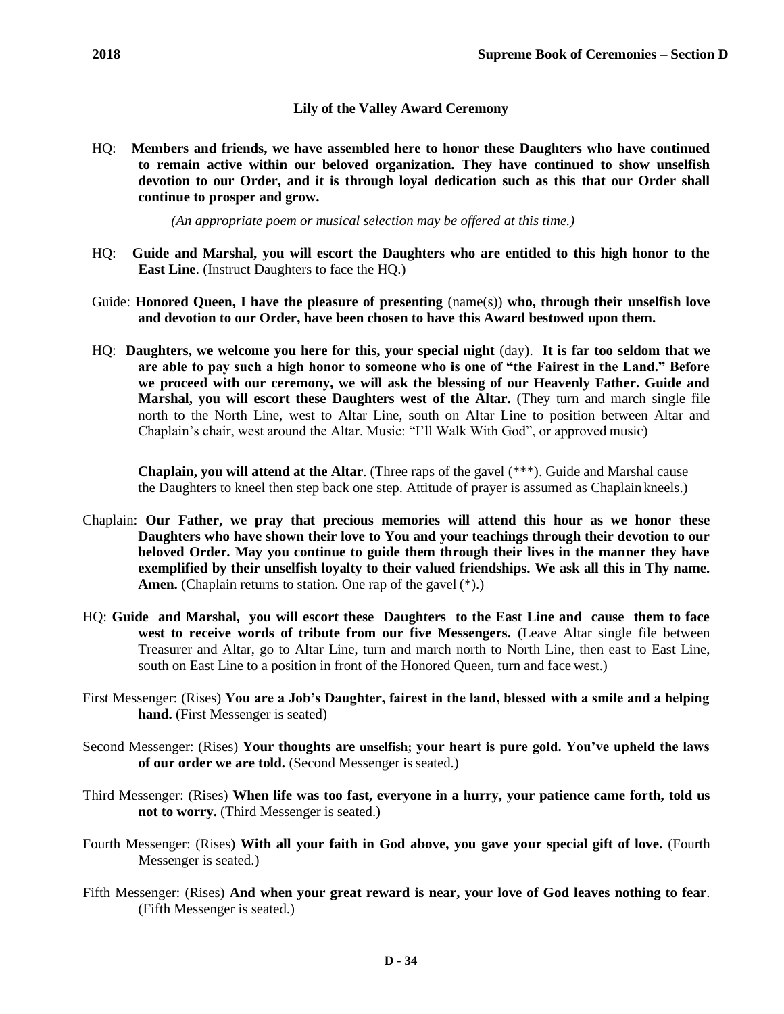## **Lily of the Valley Award Ceremony**

HQ: **Members and friends, we have assembled here to honor these Daughters who have continued to remain active within our beloved organization. They have continued to show unselfish devotion to our Order, and it is through loyal dedication such as this that our Order shall continue to prosper and grow.**

*(An appropriate poem or musical selection may be offered at this time.)*

- HQ: **Guide and Marshal, you will escort the Daughters who are entitled to this high honor to the East Line**. (Instruct Daughters to face the HQ.)
- Guide: **Honored Queen, I have the pleasure of presenting** (name(s)) **who, through their unselfish love and devotion to our Order, have been chosen to have this Award bestowed upon them.**
- HQ: **Daughters, we welcome you here for this, your special night** (day). **It is far too seldom that we are able to pay such a high honor to someone who is one of "the Fairest in the Land." Before we proceed with our ceremony, we will ask the blessing of our Heavenly Father. Guide and Marshal, you will escort these Daughters west of the Altar.** (They turn and march single file north to the North Line, west to Altar Line, south on Altar Line to position between Altar and Chaplain's chair, west around the Altar. Music: "I'll Walk With God", or approved music)

**Chaplain, you will attend at the Altar**. (Three raps of the gavel (\*\*\*). Guide and Marshal cause the Daughters to kneel then step back one step. Attitude of prayer is assumed as Chaplain kneels.)

- Chaplain: **Our Father, we pray that precious memories will attend this hour as we honor these Daughters who have shown their love to You and your teachings through their devotion to our beloved Order. May you continue to guide them through their lives in the manner they have exemplified by their unselfish loyalty to their valued friendships. We ask all this in Thy name.**  Amen. (Chaplain returns to station. One rap of the gavel  $(*)$ .)
- HQ: **Guide and Marshal, you will escort these Daughters to the East Line and cause them to face**  west to receive words of tribute from our five Messengers. (Leave Altar single file between Treasurer and Altar, go to Altar Line, turn and march north to North Line, then east to East Line, south on East Line to a position in front of the Honored Queen, turn and face west.)
- First Messenger: (Rises) **You are a Job's Daughter, fairest in the land, blessed with a smile and a helping hand.** (First Messenger is seated)
- Second Messenger: (Rises) **Your thoughts are unselfish; your heart is pure gold. You've upheld the laws of our order we are told.** (Second Messenger is seated.)
- Third Messenger: (Rises) **When life was too fast, everyone in a hurry, your patience came forth, told us not to worry.** (Third Messenger is seated.)
- Fourth Messenger: (Rises) **With all your faith in God above, you gave your special gift of love.** (Fourth Messenger is seated.)
- Fifth Messenger: (Rises) **And when your great reward is near, your love of God leaves nothing to fear**. (Fifth Messenger is seated.)